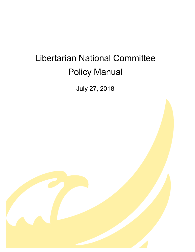# Libertarian National Committee Policy Manual

July 27, 2018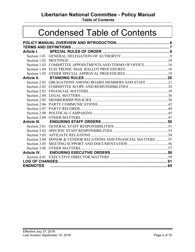# **Libertarian National Committee - Policy Manual**

**Table of Contents**

# Condensed Table of Contents

| Article I.      |                                                                |  |
|-----------------|----------------------------------------------------------------|--|
|                 |                                                                |  |
|                 |                                                                |  |
|                 | Section 1.03 COMMITTEE APPOINTMENTS AND TERMS OF OFFICE 16     |  |
|                 |                                                                |  |
|                 |                                                                |  |
| Article II.     |                                                                |  |
|                 | Section 2.01 OBLIGATIONS AMONG BOARD MEMBERS AND STAFF 21      |  |
|                 |                                                                |  |
|                 |                                                                |  |
|                 |                                                                |  |
|                 |                                                                |  |
|                 |                                                                |  |
|                 |                                                                |  |
| Section 2.08    |                                                                |  |
|                 |                                                                |  |
| Article III.    |                                                                |  |
|                 |                                                                |  |
|                 |                                                                |  |
| Section 3.03    |                                                                |  |
|                 | Section 3.04 DONOR & VENDOR RELATIONS AND FINANCIAL MATTERS 55 |  |
| Section 3.05    |                                                                |  |
|                 |                                                                |  |
| Article IV.     |                                                                |  |
|                 |                                                                |  |
|                 |                                                                |  |
| <b>ENDNOTES</b> |                                                                |  |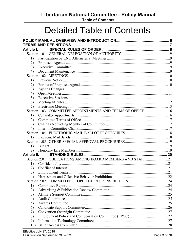Libertarian National Committee - Policy Manual

**Table of Contents** 

# **Detailed Table of Contents**

| Article I.  |                                                            |  |
|-------------|------------------------------------------------------------|--|
|             |                                                            |  |
| 1)          |                                                            |  |
| 2)          |                                                            |  |
| 3)          |                                                            |  |
| 4)          |                                                            |  |
|             |                                                            |  |
| 1)          |                                                            |  |
| 2)          |                                                            |  |
| 3)          |                                                            |  |
| 4)          |                                                            |  |
| 5)          |                                                            |  |
| 6)          |                                                            |  |
| 7)          |                                                            |  |
|             | Section 1.03 COMMITTEE APPOINTMENTS AND TERMS OF OFFICE 16 |  |
| 1)          |                                                            |  |
| 2)          |                                                            |  |
| 3)          |                                                            |  |
| 4)          |                                                            |  |
|             |                                                            |  |
| 1)          |                                                            |  |
|             |                                                            |  |
| 1)          |                                                            |  |
| 2)          |                                                            |  |
| Article II. |                                                            |  |
|             | Section 2.01 OBLIGATIONS AMONG BOARD MEMBERS AND STAFF 21  |  |
| 1)          |                                                            |  |
| 2)          |                                                            |  |
| 3)          |                                                            |  |
| 4)          |                                                            |  |
|             |                                                            |  |
| 1)          |                                                            |  |
| 2)          |                                                            |  |
| 3)          |                                                            |  |
| 4)          |                                                            |  |
| 5)          |                                                            |  |
| 6)          |                                                            |  |
| 7)          |                                                            |  |
| 8)          |                                                            |  |
| 9)          |                                                            |  |
| 10)         |                                                            |  |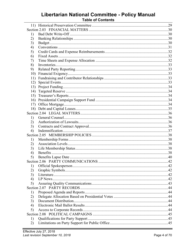# Libertarian National Committee - Policy Manual<br>Table of Contents

| 1)  |  |
|-----|--|
| 2)  |  |
| 3)  |  |
| 4)  |  |
| 5)  |  |
| 6)  |  |
| 7)  |  |
| 8)  |  |
| 9)  |  |
| 10) |  |
| 11) |  |
| 12) |  |
|     |  |
| 14) |  |
|     |  |
| 16) |  |
|     |  |
|     |  |
|     |  |
| 1)  |  |
| 2)  |  |
| 3)  |  |
| 4)  |  |
|     |  |
| 1)  |  |
| 2)  |  |
| 3)  |  |
| 4)  |  |
| 5)  |  |
|     |  |
| 1)  |  |
| 2)  |  |
| 3)  |  |
| 4)  |  |
| 5)  |  |
|     |  |
| 1)  |  |
| 2)  |  |
| 3)  |  |
| 4)  |  |
| 5)  |  |
|     |  |
| 1)  |  |
| 2)  |  |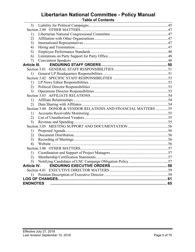# **Libertarian National Committee - Policy Manual**

| <b>Table of Contents</b> |
|--------------------------|
|--------------------------|

| 3)              |                                                                |  |
|-----------------|----------------------------------------------------------------|--|
|                 |                                                                |  |
| 1)              |                                                                |  |
| 2)              |                                                                |  |
| 3)              |                                                                |  |
| 4)              |                                                                |  |
| 5)              |                                                                |  |
| 6)              |                                                                |  |
| 7)              |                                                                |  |
| Article III.    |                                                                |  |
|                 |                                                                |  |
| 1)              |                                                                |  |
|                 |                                                                |  |
| 1)              |                                                                |  |
| 2)              |                                                                |  |
| 3)              |                                                                |  |
|                 |                                                                |  |
| 1)              |                                                                |  |
| 2)              |                                                                |  |
|                 | Section 3.04 DONOR & VENDOR RELATIONS AND FINANCIAL MATTERS 55 |  |
| 1)              |                                                                |  |
| 2)              |                                                                |  |
| 3)              |                                                                |  |
|                 |                                                                |  |
| 1)              |                                                                |  |
| 2)              |                                                                |  |
| 3)              |                                                                |  |
| 4)              |                                                                |  |
|                 |                                                                |  |
| 1)              |                                                                |  |
| 2)              |                                                                |  |
| 3)              |                                                                |  |
| Article IV.     |                                                                |  |
|                 |                                                                |  |
|                 |                                                                |  |
|                 |                                                                |  |
| <b>ENDNOTES</b> |                                                                |  |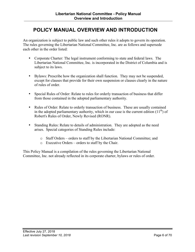# <span id="page-5-0"></span>**POLICY MANUAL OVERVIEW AND INTRODUCTION**

An organization is subject to public law and such other rules it adopts to govern its operation. The rules governing the Libertarian National Committee, Inc. are as follows and supersede each other in the order listed:

- Corporate Charter: The legal instrument conforming to state and federal laws. The Libertarian National Committee, Inc. is incorporated in the District of Columbia and is subject to its laws.
- Bylaws: Prescribe how the organization shall function. They may not be suspended, except for clauses that provide for their own suspension or clauses clearly in the nature of rules of order.
- Special Rules of Order: Relate to rules for orderly transaction of business that differ from those contained in the adopted parliamentary authority.
- Rules of Order: Relate to orderly transaction of business. These are usually contained in the adopted parliamentary authority, which in our case is the current edition  $(11<sup>th</sup>)$  of Robert's Rules of Order, Newly Revised (RONR).
- Standing Rules: Relate to details of administration. They are adopted as the need arises. Special categories of Standing Rules include:
	- o Staff Orders orders to staff by the Libertarian National Committee; and
	- o Executive Orders orders to staff by the Chair.

This Policy Manual is a compilation of the rules governing the Libertarian National Committee, Inc. not already reflected in its corporate charter, bylaws or rules of order.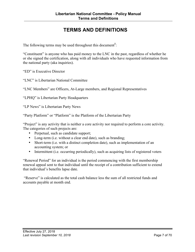# **TERMS AND DEFINITIONS**

<span id="page-6-0"></span>The following terms may be used throughout this document**<sup>1</sup>** :

"Constituent" is anyone who has paid money to the LNC in the past, regardless of whether he or she signed the certification, along with all individuals who have requested information from the national party (aka inquiries).

"ED" is Executive Director

"LNC" is Libertarian National Committee

"LNC Members" are Officers, At-Large members, and Regional Representatives

"LPHQ" is Libertarian Party Headquarters

"LP News" is Libertarian Party News

"Party Platform" or "Platform" is the Platform of the Libertarian Party

"Project" is any activity that is neither a core activity nor required to perform a core activity. The categories of such projects are:

- Perpetual, such as candidate support;
- Long-term (i.e. without a clear end date), such as branding;
- Short-term (i.e. with a distinct completion date), such as implementation of an accounting system; or
- Intermittent (i.e. occurring periodically), such as acquiring lists of registered voters

"Renewal Period" for an individual is the period commencing with the first membership renewal appeal sent to that individual until the receipt of a contribution sufficient to extend that individual's benefits lapse date.

"Reserve" is calculated as the total cash balance less the sum of all restricted funds and accounts payable at month end.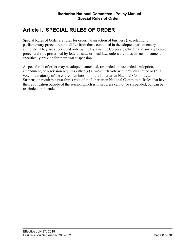# <span id="page-7-0"></span>**Article I. SPECIAL RULES OF ORDER**

Special Rules of Order are rules for orderly transaction of business (i.e. relating to parliamentary procedure) that differ from those contained in the adopted parliamentary authority. They are superseded only by the Bylaws, the Corporate Charter and any applicable procedural rule prescribed by federal, state or local law, unless the rules in such documents specifically provide for their own suspension.

A special rule of order may be adopted, amended, rescinded or suspended. Adoption, amendment, or rescission requires either (a) a two-thirds vote with previous notice or (b) a vote of a majority of the entire membership of the Libertarian National Committee. Suspension requires a two-thirds vote of the Libertarian National Committee. Rules that have their application outside of the session which is in progress cannot be suspended, but can be rescinded or amended. **2**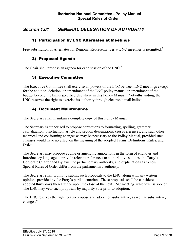## <span id="page-8-0"></span>*Section 1.01 GENERAL DELEGATION OF AUTHORITY*

#### 1) Participation by LNC Alternates at Meetings

Free substitution of Alternates for Regional Representatives at LNC meetings is permitted.<sup>3</sup>

#### 2) Proposed Agenda

The Chair shall propose an agenda for each session of the LNC.<sup>4</sup>

#### 3) Executive Committee

The Executive Committee shall exercise all powers of the LNC between LNC meetings except for the addition, deletion, or amendment of the LNC policy manual or amendment of the budget beyond the limits specified elsewhere in this Policy Manual. Notwithstanding, the LNC reserves the right to exercise its authority through electronic mail ballots.<sup>5</sup>

#### 4) Document Maintenance

The Secretary shall maintain a complete copy of this Policy Manual.

The Secretary is authorized to propose corrections to formatting, spelling, grammar, capitalization, punctuation, article and section designations, cross-references, and such other technical and conforming changes as may be necessary to the Policy Manual, provided such changes would have no effect on the meaning of the adopted Terms, Definitions, Rules, and Orders.

The Secretary may propose adding or amending annotations in the form of endnotes and introductory language to provide relevant references to authoritative statutes, the Party's Corporate Charter and Bylaws, the parliamentary authority, and explanations as to how Special Rules of Order differ from the parliamentary authority.

The Secretary shall promptly submit such proposals to the LNC, along with any written opinions provided by the Party's parliamentarian. These proposals shall be considered adopted thirty days thereafter or upon the close of the next LNC meeting, whichever is sooner. The LNC may veto such proposals by majority vote prior to adoption.

The LNC reserves the right to also propose and adopt non-substantive, as well as substantive, changes.<sup>6</sup>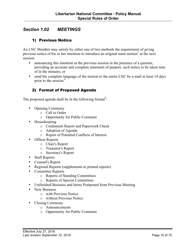## <span id="page-9-0"></span>*Section 1.02 MEETINGS*

#### 1) Previous Notice

An LNC Member may satisfy by either one of two methods the requirement of giving previous notice of his or her intention to introduce an original main motion<sup>7</sup> at the next session:

- announcing this intention at the previous session in the presence of a quorum, providing an accurate and complete statement of purport, such notice to be taken note of in the minutes; or
- send the complete language of the motion to the entire LNC by e-mail at least 14 days prior to the session. 8

#### 2) Format of Proposed Agenda

The proposed agenda shall be in the following format<sup>9</sup>:

- Opening Ceremony
	- o Call to Order
	- o Opportunity for Public Comment
- Housekeeping
	- o Credentials Report and Paperwork Check
	- o Adoption of Agenda
	- o Report of Potential Conflicts of Interest
- Officer Reports
	- o Chair's Report
	- o Treasurer's Report
	- o Secretary's Report
- Staff Reports
- Counsel's Report
- Regional Reports (supplements to printed reports)
- Committee Reports
	- o Reports of Standing Committees
	- o Reports of Special Committees
- Unfinished Business and Items Postponed from Previous Meeting
- New Business
	- o with Previous Notice
	- o without Previous Notice
- Closing Ceremony
	- o Announcements
	- o Opportunity for Public Comment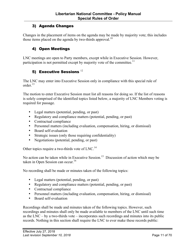#### <span id="page-10-0"></span>3) Agenda Changes

Changes in the placement of items on the agenda may be made by majority vote; this includes those items placed on the agenda by two-thirds approval.<sup>10</sup>

#### 4) Open Meetings

LNC meetings are open to Party members, except while in Executive Session. However, participation is not permitted except by majority vote of the committee.<sup>11</sup>

## 5) Executive Sessions<sup>12</sup>

The LNC may enter into Executive Session only in compliance with this special rule of order $^{13}$ 

The motion to enter Executive Session must list all reasons for doing so. If the list of reasons is solely comprised of the identified topics listed below, a majority of LNC Members voting is required for passage.

- Legal matters (potential, pending, or past)
- Regulatory and compliance matters (potential, pending, or past)
- Contractual compliance
- Personnel matters (including evaluation, compensation, hiring, or dismissal)
- Board self-evaluation
- Strategic issues (only those requiring confidentiality)
- Negotiations (potential, pending, or past)

Other topics require a two-thirds vote of LNC.<sup>14</sup>

No action can be taken while in Executive Session.<sup>15</sup> Discussion of action which may be taken in Open Session can occur.<sup>16</sup>

No recording shall be made or minutes taken of the following topics:

- Legal matters (potential, pending, or past)
- Regulatory and compliance matters (potential, pending, or past)
- Contractual compliance
- Personnel matters (including evaluation, compensation, hiring, or dismissal)
- Board self-evaluation

Recordings shall be made and minutes taken of the following topics. However, such recordings and minutes shall only be made available to members of the LNC until such time as the LNC – by a two-thirds vote – incorporates such recordings and minutes into its public records. Nothing in this section shall require the LNC to ever make these records public: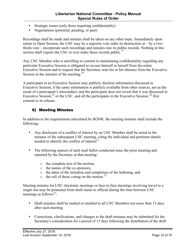- <span id="page-11-0"></span>• Strategic issues (only those requiring confidentiality)
- Negotiations (potential, pending, or past)

Recordings shall be made and minutes shall be taken on any other topic. Immediately upon return to Open Session, the LNC may by a majority vote order its destruction or – by a twothirds vote – incorporate such recordings and minutes into its public records. Nothing in this section shall require the LNC to ever make these records public.<sup>17</sup>

Any LNC Member who is unwilling to commit to maintaining confidentiality regarding any particular Executive Session is obligated to excuse himself or herself from the entire Executive Session and to request that the Secretary note his or her absence from the Executive Session in the minutes of the meeting.<sup>18</sup>

A participant in an Executive Session may publicly disclose information discussed in Executive Session, if the same information is publicly available from other sources, not as the result of a participant's misconduct, and the participant does not reveal that it was discussed in Executive Session;<sup>19</sup> or the LNC, and all the participants in the Executive Session,<sup>20</sup> first consent to its release.

#### 6) Meeting Minutes

In addition to the requirements articulated by RONR, the meeting minutes shall include the following:

- Any disclosure of a conflict of interest by an LNC Member shall be noted in the minutes of the subsequent LNC meeting, citing the individual and pertinent details needed to identify the conflict of interest $21$
- The following aspects of each mail ballot conducted since the prior meeting and reported by the Secretary at that meeting:
	- o the complete text of the motion,
	- o the names of the co-sponsors,
	- o the dates of the initiation and completion of the balloting, and
	- $\circ$  the roll of those voting on the motion.<sup>22</sup>

Meeting minutes for LNC electronic meetings or face-to-face meetings involving travel to a single site may be promoted from draft status to official during the time between LNC meetings as follows<sup>23</sup>:

- Draft minutes shall be mailed or emailed to all LNC Members not more than 15 days after each meeting.
- Corrections, clarifications, and changes to the draft minutes may be submitted for the Secretary's consideration for a period of 15 days following the distribution of the draft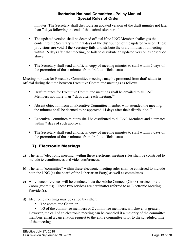#### **Libertarian National Committee - Policy Manual Special Rules of Order**

<span id="page-12-0"></span>minutes. The Secretary shall distribute an updated version of the draft minutes not later than 7 days following the end of that submission period.

- The updated version shall be deemed official if no LNC Member challenges the content to the Secretary within 7 days of the distribution of the updated version. These provisions are void if the Secretary fails to distribute the draft minutes of a meeting within 15 days after that meeting, or fails to distribute an updated version as described above.
- The Secretary shall send an official copy of meeting minutes to staff within 7 days of the promotion of those minutes from draft to official status.

Meeting minutes for Executive Committee meetings may be promoted from draft status to official during the time between Executive Committee meetings as follows:

- Draft minutes for Executive Committee meetings shall be emailed to all LNC Members not more than 7 days after each meeting. $24$
- Absent objection from an Executive Committee member who attended the meeting, the minutes shall be deemed to be approved 14 days after their distribution.<sup>25</sup>
- Executive Committee minutes shall be distributed to all LNC Members and alternates within 7 days of such approval.
- The Secretary shall send an official copy of meeting minutes to staff within 7 days of the promotion of those minutes from draft to official status.

## 7) Electronic Meetings

- a) The term "electronic meeting" within these electronic meeting rules shall be construed to include teleconferences and videoconferences.
- b) The term "committee" within these electronic meeting rules shall be construed to include both the LNC (as the board of the Libertarian Party) as well as committees.
- c) All videoconferences will be conducted via the Adobe Connect (Citrix) service, or via Zoom (zoom.us). These two services are hereinafter referred to as Electronic Meeting Provider(s).
- d) Electronic meetings may be called by either:
	- The committee Chair, or
	- 1/3 of the committee members or 2 committee members, whichever is greater.

However, the call of an electronic meeting can be canceled if a majority of the committee members email a cancellation request to the entire committee prior to the scheduled time of the meeting.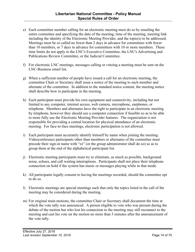- e) Each committee member calling for an electronic meeting must do so by emailing the entire committee and specifying the date of the meeting, time of the meeting, meeting link including the identity of the Electronic Meeting Provider, and the topic(s) to be addressed. Meetings must be so called no fewer than 2 days in advance for committees with fewer than 10 members, or 7 days in advance for committees with 10 or more members. These time limits do not apply to the LNC's Executive Committee, the LNC's Advertising and Publications Review Committee, or the Judicial Committee.
- f) For electronic LNC meetings, messages calling or vetoing a meeting must be sent on the LNC-Business email list.
- g) When a sufficient number of people have issued a call for an electronic meeting, the committee Chair or Secretary shall issue a notice of the meeting to each member and alternate of the committee. In addition to the standard notice content, the meeting notice shall describe how to participate in the meeting.
- h) Each participant must provide his own equipment and connectivity, including but not limited to any computer, internet access, web camera, microphone, earphones, or telephone. Members and alternates have the right to participate in an electronic meeting by telephone, however they should use a computer connection if feasible so as to be able to more fully use the Electronic Meeting Provider features. The organization is not responsible for providing a central location for physical attendance of an electronic meeting. For face-to-face meetings, electronic participation is not allowed.
- i) Each participant must accurately identify himself by name when joining the meeting. Videoconference participants other than members or alternates of the committee must precede their sign-in name with "zz" (or the group administrator shall do so) so as to group them at the end of the alphabetical participant list.
- j) Electronic meeting participants must try to eliminate, as much as possible, background noise, echoes, and call waiting interruptions. Participants shall not place their telephone connection on hold if the system has music or messages playing while in that mode.
- k) All participants legally consent to having the meetings recorded, should the committee opt to do so.
- l) Electronic meetings are special meetings such that only the topics listed in the call of the meeting may be considered during the meeting.
- m) For original main motions, the committee Chair or Secretary shall document the time at which the vote tally was announced. A person eligible to vote who was present during the debate of the motion but who lost his connection to the meeting may still reconnect to the meeting and cast his vote on the motion no more than 5 minutes after the announcement of the vote tally.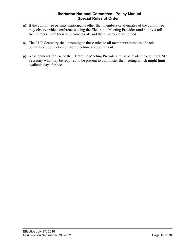- n) If the committee permits, participants other than members or alternates of the committee may observe videoconferences using the Electronic Meeting Provider (and not by a tollfree number) with their web cameras off and their microphones muted.
- o) The LNC Secretary shall promulgate these rules to all members/alternates of each committee upon notice of their election or appointment.
- p) Arrangements for use of the Electronic Meeting Providers must be made through the LNC Secretary who may be required to be present to administer the meeting which might limit available days for use.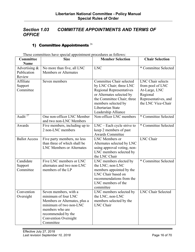## <span id="page-15-0"></span>*Section 1.03 COMMITTEE APPOINTMENTS AND TERMS OF OFFICE*

## 1) Committee Appointments  $^{26}$

These committees have special appointment procedures as follows:

| Committee            | <b>Size</b>                      | <b>Member Selection</b>         | <b>Chair Selection</b>    |
|----------------------|----------------------------------|---------------------------------|---------------------------|
| <b>Name</b>          |                                  |                                 |                           |
| Advertising $\&$     | No more than five, all LNC       | <b>LNC</b>                      | * Committee Selected      |
| Publication          | <b>Members or Alternates</b>     |                                 |                           |
| Review               |                                  |                                 |                           |
| Affiliate            | Seven members                    | Committee Chair selected        | <b>LNC</b> Chair selects  |
| Support              |                                  | by LNC Chair; three LNC         | from pool of LNC          |
| Committee            |                                  | <b>Regional Representatives</b> | At-Large, LNC             |
|                      |                                  | or Alternates selected by       | Regional                  |
|                      |                                  | the Committee Chair; three      | Representatives, and      |
|                      |                                  | members selected by             | the LNC Vice-Chair        |
|                      |                                  | Libertarian State               |                           |
|                      |                                  | Leadership Alliance             |                           |
| Audit $^{27}$        | One non-officer LNC Member       | Non-officer LNC members         | * Committee Selected      |
|                      | and two non-LNC Members          |                                 |                           |
| Awards               | Five members, including up to    | LNC – Each cycle strive to      | * Committee Selected      |
|                      | 2 non-LNC members                | keep 2 members of past          |                           |
|                      |                                  | <b>Awards Committee</b>         |                           |
| <b>Ballot Access</b> | Five party members, no less      | LNC Members or                  | <b>LNC</b> Chair          |
|                      | than three of which shall be     | Alternates selected by LNC      |                           |
|                      | <b>LNC Members or Alternates</b> | using approval voting, non-     |                           |
|                      |                                  | LNC members selected by         |                           |
|                      |                                  | the LNC Chair                   |                           |
| Candidate            | Five LNC members or LNC          | LNC members elected by          | * Committee Selected      |
| Support              | alternates and two non-LNC       | the LNC; non-LNC                |                           |
| Committee            | members of the LP                | members appointed by the        |                           |
|                      |                                  | LNC Chair based on              |                           |
|                      |                                  | recommendations from the        |                           |
|                      |                                  | LNC members of the              |                           |
|                      |                                  | committee                       |                           |
| Convention           | Seven members, with a            | LNC members selected by         | <b>LNC Chair Selected</b> |
| Oversight            | minimum of four LNC              | the LNC, non-LNC                |                           |
|                      | Members or Alternates, plus a    | members selected by the         |                           |
|                      | minimum of two non-LNC           | LNC Chair                       |                           |
|                      | members who are                  |                                 |                           |
|                      | recommended by the               |                                 |                           |
|                      | <b>Convention Oversight</b>      |                                 |                           |
|                      | Committee                        |                                 |                           |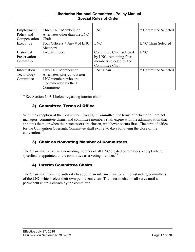#### **Libertarian National Committee - Policy Manual Special Rules of Order**

<span id="page-16-0"></span>

| Employment   | Three LNC Members or          | <b>LNC</b>               | * Committee Selected      |
|--------------|-------------------------------|--------------------------|---------------------------|
| Policy and   | Alternates other than the LNC |                          |                           |
| Compensation | Chair                         |                          |                           |
| Executive    | Four Officers + Any # of LNC  | <b>LNC</b>               | <b>LNC Chair Selected</b> |
|              | Members                       |                          |                           |
| Historical   | <b>Five Members</b>           | Committee Chair selected | <b>LNC</b>                |
| Preservation |                               | by LNC; remaining four   |                           |
| Committee    |                               | members selected by the  |                           |
|              |                               | Committee Chair          |                           |
| Information  | Two LNC Members or            | <b>LNC</b> Chair         | * Committee Selected      |
| Technology   | Alternates, plus up to 5 non- |                          |                           |
| Committee    | LNC members who are           |                          |                           |
|              | recommended by the IT         |                          |                           |
|              | Committee                     |                          |                           |

\* See Section 1.03.4 below regarding interim chairs

## 2) Committee Terms of Office

With the exception of the Convention Oversight Committee, the terms of office of all project managers, committee chairs, and committee members shall expire with the administration that appoints them, or when their successors are chosen, whichever occurs first. The term of office for the Convention Oversight Committee shall expire 90 days following the close of the convention. <sup>28</sup>

#### 3) Chair as Nonvoting Member of Committees

The Chair shall serve as a nonvoting member of all LNC created committees, except where specifically appointed to the committee as a voting member.<sup>29</sup>

## 4) Interim Committee Chairs

The Chair shall have the authority to appoint an interim chair for all non-standing committees of the LNC which select their own permanent chair. The interim chair shall serve until a permanent chair is chosen by the committee.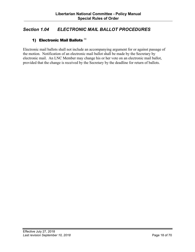## <span id="page-17-0"></span>*Section 1.04 ELECTRONIC MAIL BALLOT PROCEDURES*

## 1) Electronic Mail Ballots  $30$

Electronic mail ballots shall not include an accompanying argument for or against passage of the motion. Notification of an electronic mail ballot shall be made by the Secretary by electronic mail. An LNC Member may change his or her vote on an electronic mail ballot, provided that the change is received by the Secretary by the deadline for return of ballots.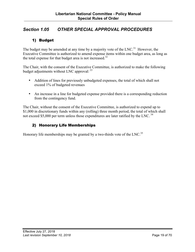## <span id="page-18-0"></span>*Section 1.05 OTHER SPECIAL APPROVAL PROCEDURES*

### 1) Budget

The budget may be amended at any time by a majority vote of the LNC.<sup>31</sup> However, the Executive Committee is authorized to amend expense items within one budget area, as long as the total expense for that budget area is not increased.<sup>32</sup>

The Chair, with the consent of the Executive Committee, is authorized to make the following budget adjustments without LNC approval:  $33$ 

- Addition of lines for previously unbudgeted expenses, the total of which shall not exceed 1% of budgeted revenues
- An increase in a line for budgeted expense provided there is a corresponding reduction from the contingency fund.

The Chair, without the consent of the Executive Committee, is authorized to expend up to \$1,000 in discretionary funds within any (rolling) three month period, the total of which shall not exceed \$5,000 per term unless those expenditures are later ratified by the LNC.<sup>34</sup>

#### 2) Honorary Life Memberships

Honorary life memberships may be granted by a two-thirds vote of the LNC.<sup>35</sup>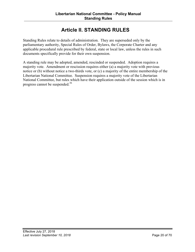# **Article II. STANDING RULES**

<span id="page-19-0"></span>Standing Rules relate to details of administration. They are superseded only by the parliamentary authority, Special Rules of Order, Bylaws, the Corporate Charter and any applicable procedural rule prescribed by federal, state or local law, unless the rules in such documents specifically provide for their own suspension.

A standing rule may be adopted, amended, rescinded or suspended. Adoption requires a majority vote. Amendment or rescission requires either (a) a majority vote with previous notice or (b) without notice a two-thirds vote, or (c) a majority of the entire membership of the Libertarian National Committee. Suspension requires a majority vote of the Libertarian National Committee, but rules which have their application outside of the session which is in progress cannot be suspended.<sup>36</sup>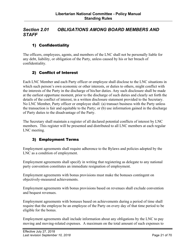## <span id="page-20-0"></span>*Section 2.01 OBLIGATIONS AMONG BOARD MEMBERS AND STAFF*

## 1) Confidentiality

The officers, employees, agents, and members of the LNC shall not be personally liable for any debt, liability, or obligation of the Party, unless caused by his or her breach of confidentiality.

#### 2) Conflict of Interest

Each LNC Member and each Party officer or employee shall disclose to the LNC situations in which such person's own economic or other interests, or duties to others, might conflict with the interests of the Party in the discharge of his/her duties. Any such disclosure shall be made at the earliest opportune moment, prior to the discharge of such duties and clearly set forth the details of the conflict of interest, in a written disclosure statement provided to the Secretary. No LNC Member, Party officer or employee shall: (a) transact business with the Party unless the transaction is fair and equitable to the Party; or (b) use information gained in the discharge of Party duties to the disadvantage of the Party.

The Secretary shall maintain a register of all declared potential conflicts of interest by LNC members. This register will be presented and distributed to all LNC members at each regular LNC meeting.

#### 3) Employment Terms

Employment agreements shall require adherence to the Bylaws and policies adopted by the LNC as a condition of employment.

Employment agreements shall specify in writing that registering as delegate to any national party convention constitutes an immediate resignation of employment.

Employment agreements with bonus provisions must make the bonuses contingent on objectively-measured achievements.

Employment agreements with bonus provisions based on revenues shall exclude convention and bequest revenues.

Employment agreements with bonuses based on achievements during a period of time shall require that the employee be an employee of the Party on every day of that time period to be eligible for the bonus.

Employment agreements shall include information about any obligations by the LNC to pay moving and moving-related expenses. A maximum on the total amount of such expenses to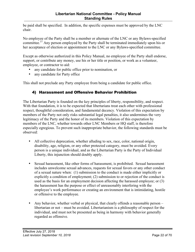<span id="page-21-0"></span>be paid shall be specified. In addition, the specific expenses must be approved by the LNC chair.

No employee of the Party shall be a member or alternate of the LNC or any Bylaws-specified committee.<sup>37</sup> Any person employed by the Party shall be terminated immediately upon his or her acceptance of election or appointment to the LNC or any Bylaws-specified committee.

Except as otherwise authorized in this Policy Manual, no employee of the Party shall endorse, support, or contribute any money, use his or her title or position, or work as a volunteer, employee, or contractor to aid:

- any candidate for public office prior to nomination, or
- any candidate for Party office

This shall not preclude any Party employee from being a candidate for public office.

#### 4) Harassment and Offensive Behavior Prohibition

The Libertarian Party is founded on the key principles of liberty, responsibility, and respect. With that foundation, it is to be expected that libertarians treat each other with professional respect, thoughtful consideration, and fundamental decency. Violation of this expectation by members of the Party not only risks substantial legal penalties, it also undermines the very legitimacy of the Party and the honor of its members. Violation of this expectation by members of the LNC, whether towards other LNC Members or HQ staff, is therefore especially egregious. To prevent such inappropriate behavior, the following standards must be observed:

- All collective deprecation, whether alluding to sex, race, color, national origin, disability, age, religion, or any other protected category, must be avoided. Every person is a unique individual, and as the Libertarian Party is the Party of Individual Liberty, this injunction should doubly apply.
- Sexual harassment, like other forms of harassment, is prohibited. Sexual harassment includes unwelcome sexual advances, requests for sexual favors or any other conduct of a sexual nature when: (1) submission to the conduct is made either implicitly or explicitly a condition of employment; (2) submission to or rejection of the conduct is used as the basis for an employment decision affecting the harassed employee; or (3) the harassment has the purpose or effect of unreasonably interfering with the employee's work performance or creating an environment that is intimidating, hostile or offensive to the employee.
- Any behavior, whether verbal or physical, that clearly offends a reasonable person libertarian or not – must be avoided. Libertarianism is a philosophy of respect for the individual, and must not be presented as being in harmony with behavior generally regarded as offensive.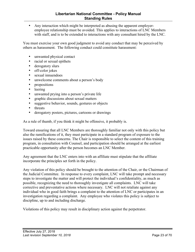• Any interaction which might be interpreted as abusing the apparent employeremployee relationship must be avoided. This applies to interactions of LNC Members with staff, and is to be extended to interactions with any consultant hired by the LNC.

You must exercise your own good judgment to avoid any conduct that may be perceived by others as harassment. The following conduct could constitute harassment:

- unwanted physical contact
- racial or sexual epithets
- derogatory slurs
- off-color jokes
- sexual innuendoes
- unwelcome comments about a person's body
- propositions
- leering
- unwanted prying into a person's private life
- graphic discussions about sexual matters
- suggestive behavior, sounds, gestures or objects
- threats
- derogatory posters, pictures, cartoons or drawings

As a rule of thumb, if you think it might be offensive, it probably is.

Toward ensuring that all LNC Members are thoroughly familiar not only with this policy but also the ramifications of it, they must participate in a standard program of exposure to the issues raised by these concerns. The Chair is responsible to select the content of this training program, in consultation with Counsel, and participation should be arranged at the earliest practicable opportunity after the person becomes an LNC Member.

Any agreement that the LNC enters into with an affiliate must stipulate that the affiliate incorporate the principles set forth in the policy.

Any violation of this policy should be brought to the attention of the Chair, or the Chairman of the Judicial Committee. In response to every complaint, LNC will take prompt and necessary steps to investigate the matter and will protect the individual's confidentiality, as much as possible, recognizing the need to thoroughly investigate all complaints. LNC will take corrective and preventative actions where necessary. LNC will not retaliate against any individual who in good faith brings a complaint to the attention of LNC or participates in an investigation regarding a complaint. Any employee who violates this policy is subject to discipline, up to and including discharge.

Violations of this policy may result in disciplinary action against the perpetrator.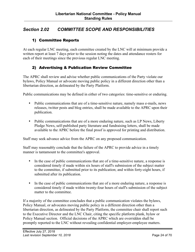## <span id="page-23-0"></span>*Section 2.02 COMMITTEE SCOPE AND RESPONSIBILITIES*

#### 1) Committee Reports

At each regular LNC meeting, each committee created by the LNC will at minimum provide a written report at least 7 days prior to the session noting the dates and attendance rosters for each of their meetings since the previous regular LNC meeting.

#### 2) Advertising & Publication Review Committee

The APRC shall review and advise whether public communications of the Party violate our bylaws, Policy Manual or advocate moving public policy in a different direction other than a libertarian direction, as delineated by the Party Platform.

Public communications may be defined in either of two categories: time-sensitive or enduring.

- Public communications that are of a time-sensitive nature, namely mass e-mails, news releases, twitter posts and blog entries, shall be made available to the APRC upon their publication.
- Public communications that are of a more enduring nature, such as LP News, Liberty Pledge News, self-published party literature and fundraising letters, shall be made available to the APRC before the final proof is approved for printing and distribution.

Staff may seek advance advice from the APRC on any proposed communication.

Staff may reasonably conclude that the failure of the APRC to provide advice in a timely manner is tantamount to the committee's approval.

- In the case of public communications that are of a time-sensitive nature, a response is considered timely if made within six hours of staff's submission of the subject matter to the committee, if submitted prior to its publication; and within forty-eight hours, if submitted after its publication.
- In the case of public communications that are of a more enduring nature, a response is considered timely if made within twenty-four hours of staff's submission of the subject matter to the committee.

If a majority of the committee concludes that a public communication violates the bylaws, Policy Manual, or advocates moving public policy in a different direction other than a libertarian direction, as delineated by the Party Platform, the committee chair shall report such to the Executive Director and the LNC Chair, citing the specific platform plank, bylaw or Policy Manual section. Official decisions of the APRC which are overridden shall be promptly reported to the LNC without revealing confidential employer-employee matters.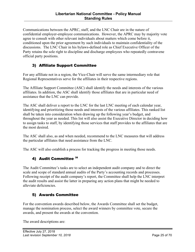<span id="page-24-0"></span>Communications between the APRC, staff, and the LNC Chair are in the nature of confidential employer-employee communications. However, the APRC may by majority vote agree to consult with other relevant individuals about matters which come before it, conditioned upon the prior agreement by such individuals to maintain confidentiality of the discussions. The LNC Chair in his bylaws-defined role as Chief Executive Officer of the Party retains the sole right to discipline and discharge employees who repeatedly contravene official party positions.

## 3) Affiliate Support Committee

For any affiliate not in a region, the Vice-Chair will serve the same intermediary role that Regional Representatives serve for the affiliates in their respective regions.

The Affiliate Support Committee (ASC) shall identify the needs and interests of the various affiliates. In addition, the ASC shall identify those affiliates that are in particular need of assistance that the LNC can provide.

The ASC shall deliver a report to the LNC for the last LNC meeting of each calendar year, identifying and prioritizing those needs and interests of the various affiliates. This ranked list shall be taken into consideration when drawing up the following year's budget, and throughout the year as needed. This list will also assist the Executive Director in deciding how to assign tasks to staff, by identifying those services that staff provides to the affiliates that are the most desired.

The ASC shall also, as and when needed, recommend to the LNC measures that will address the particular affiliates that need assistance from the LNC.

The ASC will also establish a process for tracking the progress in meeting those needs.

## 4) Audit Committee 38

The Audit Committee's tasks are to select an independent audit company and to direct the scale and scope of standard annual audits of the Party's accounting records and processes. Following receipt of the audit company's report, the Committee shall help the LNC interpret the audit results and assist the latter in preparing any action plans that might be needed to alleviate deficiencies.

## 5) Awards Committee

For the convention awards described below, the Awards Committee shall set the budget, manage the nomination process, select the award winners by committee vote, secure the awards, and present the awards at the convention.

The award descriptions are: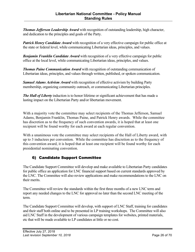<span id="page-25-0"></span>*Thomas Jefferson Leadership Award* with recognition of outstanding leadership, high character, and dedication to the principles and goals of the Party.

*Patrick Henry Candidate Award* with recognition of a very effective campaign for public office at the state or federal level, while communicating Libertarian ideas, principles, and values.

*Benjamin Franklin Candidate Award* with recognition of a very effective campaign for public office at the local level, while communicating Libertarian ideas, principles, and values.

*Thomas Paine Communication Award* with recognition of outstanding communication of Libertarian ideas, principles, and values through written, published, or spoken communication.

*Samuel Adams Activism Award* with recognition of effective activism by building Party membership, organizing community outreach, or communicating Libertarian principles.

*The Hall of Liberty* induction is to honor lifetime or significant achievement that has made a lasting impact on the Libertarian Party and/or libertarian movement.

With a majority vote the committee may select recipients of the Thomas Jefferson, Samuel Adams, Benjamin Franklin, Thomas Paine, and Patrick Henry awards. While the committee has discretion as to the frequency of such convention awards, it is hoped that at least one recipient will be found worthy for each award at each regular convention.

With a unanimous vote the committee may select recipients of the Hall of Liberty award, with up to 3 inductees per convention. While the committee has discretion as to the frequency of this convention award, it is hoped that at least one recipient will be found worthy for each presidential nominating convention.

## 6) Candidate Support Committee

The Candidate Support Committee will develop and make available to Libertarian Party candidates for public office an application for LNC financial support based on current standards approved by the LNC. The Committee will also review applications and make recommendations to the LNC on their merits.

The Committee will review the standards within the first three months of a new LNC term and report any needed changes to the LNC for approval no later than the second LNC meeting of the term.

The Candidate Support Committee will develop, with support of LNC Staff, training for candidates and their staff both online and to be presented in LP training workshops. The Committee will also aid LNC Staff in the development of various campaign templates for websites, printed materials, etc that will be made available to LP candidates at little or no cost.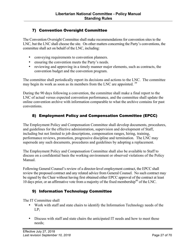## <span id="page-26-0"></span>7) Convention Oversight Committee

The Convention Oversight Committee shall make recommendations for convention sites to the LNC, but the LNC shall choose the site. On other matters concerning the Party's conventions, the committee shall act on behalf of the LNC, including:

- conveying requirements to convention planners.
- ensuring the convention meets the Party's needs.
- reviewing and approving in a timely manner major elements, such as contracts, the convention budget and the convention program.

The committee shall periodically report its decisions and actions to the LNC. The committee may begin its work as soon as its members from the LNC are appointed.<sup>39</sup>

During the 90 days following a convention, the committee shall make a final report to the LNC of actual versus expected convention performance, and the committee shall update the online convention archive with information comparable to what the archive contains for past conventions.

## 8) Employment Policy and Compensation Committee (EPCC)

The Employment Policy and Compensation Committee shall develop documents, procedures, and guidelines for the effective administration, supervision and development of Staff, including but not limited to job descriptions, compensation ranges, hiring, training, performance reviews, promotion, progressive discipline and termination. The LNC may supersede any such documents, procedures and guidelines by adopting a replacement.

The Employment Policy and Compensation Committee shall also be available to Staff to discuss on a confidential basis the working environment or observed violations of the Policy Manual.

Following General Counsel's review of a director-level employment contract, the EPCC shall review the proposed contract and any related advice from General Counsel. No such contract may be signed by the Chair without having first obtained either EPCC approval of the contract at least 10 days prior, or an affirmative vote from a majority of the fixed membership $40$  of the LNC.

#### 9) Information Technology Committee

The IT Committee shall

- Work with staff and state chairs to identify the Information Technology needs of the LP;
- Discuss with staff and state chairs the anticipated IT needs and how to meet those needs;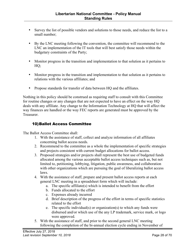- <span id="page-27-0"></span>• Survey the list of possible vendors and solutions to those needs, and reduce the list to a small number;
- By the LNC meeting following the convention, the committee will recommend to the LNC an implementation of the IT tools that will best satisfy those needs within the budgetary constraints of the Party;
- Monitor progress in the transition and implementation to that solution as it pertains to HQ;
- Monitor progress in the transition and implementation to that solution as it pertains to relations with the various affiliates; and
- Propose standards for transfer of data between HQ and the affiliates.

Nothing in this policy should be construed as requiring staff to consult with this Committee for routine changes or any changes that are not expected to have an effect on the way HQ deals with any affiliate. Any change to the Information Technology at HQ that will affect the way finances are handled or the way FEC reports are generated must be approved by the **Treasurer** 

#### 10)Ballot Access Committee

The Ballot Access Committee shall:

- 1. With the assistance of staff, collect and analyze information of all affiliates concerning ballot access needs.
- 2. Recommend to the committee as a whole the implementation of specific strategies and projects consistent with current budget allocations for ballot access.
- 3. Proposed strategies and/or projects shall represent the best use of budgeted funds allocated among the various acceptable ballot access techniques such as, but not limited to, petitioning, lobbying, litigation, public awareness, and collaboration with other organizations which are pursuing the goal of liberalizing ballot access laws.
- 4. With the assistance of staff, prepare and present ballot access reports at each general LNC meeting in a spreadsheet form which will include:
	- a. The specific affiliate(s) which is intended to benefit from the effort
	- b. Funds allocated to the effort
	- c. Expenses already incurred
	- d. Brief description of the progress of the effort in terms of specific statistics related to the effort
	- e. The specific individual(s) or organization(s) to which any funds were disbursed and/or which use of the any LP trademark, service mark, or logo were approved.
- 5. With the assistance of staff, and prior to the second general LNC meeting following the completion of the bi-annual election cycle ending in November of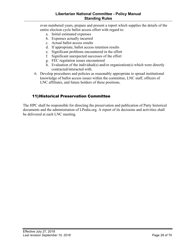#### **Libertarian National Committee - Policy Manual Standing Rules**

<span id="page-28-0"></span>even numbered years, prepare and present a report which supplies the details of the entire election cycle ballot access effort with regard to:

- a. Initial estimated expenses
- b. Expenses actually incurred
- c. Actual ballot access results
- d. If appropriate, ballot access retention results
- e. Significant problems encountered in the effort
- f. Significant unexpected successes of the effort
- g. FEC regulation issues encountered
- h. Evaluation of the individual(s) and/or organization(s) which were directly contracted/interacted with.
- 6. Develop procedures and policies as reasonably appropriate to spread institutional knowledge of ballot access issues within the committee, LNC staff, officers of LNC affiliates, and future holders of these positions.

#### 11)Historical Preservation Committee

The HPC shall be responsible for directing the preservation and publication of Party historical documents and the administration of LPedia.org. A report of its decisions and activities shall be delivered at each LNC meeting.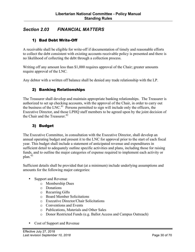## <span id="page-29-0"></span>*Section 2.03 FINANCIAL MATTERS*

### 1) Bad Debt Write-Off

A receivable shall be eligible for write-off if documentation of timely and reasonable efforts to collect the debt consistent with existing accounts receivable policy is presented and there is no likelihood of collecting the debt through a collection process.

Writing off any amount less than \$1,000 requires approval of the Chair; greater amounts require approval of the LNC.

Any debtor with a written off balance shall be denied any trade relationship with the LP.

#### 2) Banking Relationships

The Treasurer shall develop and maintain appropriate banking relationships. The Treasurer is authorized to set up checking accounts, with the approval of the Chair, in order to carry out the business of the LNC.<sup>41</sup> Persons permitted to sign will include only the officers, the Executive Director, and those LPHQ staff members to be agreed upon by the joint decision of the Chair and the Treasurer.<sup>42</sup>

#### 3) Budget

The Executive Committee, in consultation with the Executive Director, shall develop an annual operating budget and present it to the LNC for approval prior to the start of each fiscal year. This budget shall include a statement of anticipated revenue and expenditures in sufficient detail to adequately outline specific activities and plans, including those for raising funds, and to outline the major categories of expense required to implement each activity or  $plan.<sup>43</sup>$ 

Sufficient details shall be provided that (at a minimum) include underlying assumptions and amounts for the following major categories:

- Support and Revenue
	- o Membership Dues
	- o Donations
	- o Recurring Gifts
	- o Board Member Solicitations
	- o Executive Director/Chair Solicitations
	- o Conventions and Events
	- o Publications, Materials and Other Sales
	- o Donor Restricted Funds (e.g. Ballot Access and Campus Outreach)
- Cost of Support and Revenue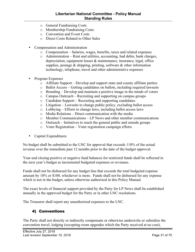- <span id="page-30-0"></span>o General Fundraising Costs
- o Membership Fundraising Costs
- o Convention and Event Costs
- o Direct Costs Related to Other Sales
- Compensation and Administration
	- o Compensation Salaries, wages, benefits, taxes and related expenses
	- o Administration Rent and utilities, accounting, bad debts, bank charges, depreciation, equipment leases & maintenance, insurance, legal, office supplies, postage  $\&$  shipping, printing, software  $\&$  other information technology, telephone, travel and other administrative expenses
- Program Expenses
	- o Affiliate Support Develop and support state and county affiliate parties
	- o Ballot Access Getting candidates on ballots, including required lawsuits
	- o Branding Develop and maintain a positive image in the minds of voters
	- o Campus Outreach Recruiting and supporting on campus groups
	- o Candidate Support Recruiting and supporting candidates
	- o Litigation Lawsuits to change public policy, excluding ballot access
	- o Lobbying Efforts to change laws, including ballot access laws
	- o Media Relations Direct communication with the media
	- o Member Communications LP News and other member communications
	- o Outreach Initiatives to reach the general public and outside groups
	- o Voter Registration Voter registration campaign efforts
- Capital Expenditures

No budget shall be submitted to the LNC for approval that exceeds 110% of the actual revenue over the immediate past 12 months prior to the date of the budget approval.

Year-end closing positive or negative fund balances for restricted funds shall be reflected in the next year's budget as incremental budgeted expenses or revenues.

Funds shall not be disbursed for any budget line that exceeds the total budgeted expense amount by 10% or \$100, whichever is more. Funds shall not be disbursed for any expense which is not in the budget, unless otherwise authorized in this Policy Manual.

The exact levels of financial support provided by the Party for LP News shall be established annually in the approved budget for the Party or in other LNC resolutions.

The Treasurer shall report any unauthorized expenses to the LNC.

#### 4) Conventions

The Party shall not directly or indirectly compensate or otherwise underwrite or subsidize the convention travel, lodging (excepting room upgrades which the Party received at no cost),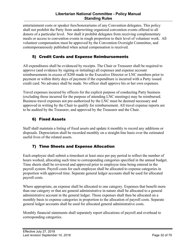#### **Libertarian National Committee - Policy Manual Standing Rules**

<span id="page-31-0"></span>entertainment costs or speaker fees/honorariums of any Convention delegates. This policy shall not prohibit the Party from underwriting organized convention events offered to all donors of a particular level. Nor shall it prohibit delegates from receiving complementary meals or access to convention events in rough proportion to their level of volunteer work. All volunteer compensation must be approved by the Convention Oversight Committee, and contemporaneously published when actual compensation is received.

## 5) Credit Cards and Expense Reimbursements

All expenditures shall be evidenced by receipts. The Chair or Treasurer shall be required to approve (and evidence by signing or initialing) all expenses and expense account reimbursements in excess of \$200 made to the Executive Director or LNC members prior to payment or within thirty days of payment if the expenditure is incurred with a Party issued credit card. No advance shall be made. No officer shall approve his or her own expenses.

Travel expenses incurred by officers for the explicit purpose of conducting Party business (excluding those incurred for the purpose of attending LNC meetings) may be reimbursed. Business travel expenses not pre-authorized by the LNC must be deemed necessary and approved in writing by the Chair to qualify for reimbursement. All travel expense reports are to be audited by the Treasurer, and approved by the Treasurer and the Chair.

## 6) Fixed Assets

Staff shall maintain a listing of fixed assets and update it monthly to record any additions or disposals. Depreciation shall be recorded monthly on a straight-line basis over the estimated useful lives of the related assets.

## 7) Time Sheets and Expense Allocation

Each employee shall submit a timesheet at least once per pay period to reflect the number of hours worked, allocating such time to corresponding categories specified in the annual budget. Time sheets shall be reviewed and approved prior to employee time being entered in the payroll system. Payroll costs for each employee shall be allocated to expense categories in proportion with approved time. Separate general ledger accounts shall be used for allocated payroll costs.

Where appropriate, an expense shall be allocated to one category. Expenses that benefit more than one category or that are general administrative in nature shall be allocated to a general administrative account in the general ledger. Those expenses shall then be allocated on a monthly basis to expense categories in proportion to the allocation of payroll costs. Separate general ledger accounts shall be used for allocated general administrative costs.

Monthly financial statements shall separately report allocations of payroll and overhead to corresponding categories.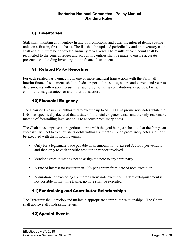## <span id="page-32-0"></span>8) Inventories

Staff shall maintain an inventory listing of promotional and other inventoried items, costing units on a first-in, first-out basis. The list shall be updated periodically and an inventory count shall at a minimum be conducted annually at year-end. The results of each count shall be reconciled to the general ledger and accounting entries shall be made to ensure accurate presentation of ending inventory on the financial statements.

#### 9) Related Party Reporting

For each related party engaging in one or more financial transactions with the Party, all interim financial statements shall include a report of the status, nature and current and year-todate amounts with respect to such transactions, including contributions, expenses, loans, commitments, guarantees or any other transaction.

## 10)Financial Exigency

The Chair or Treasurer is authorized to execute up to \$100,000 in promissory notes while the LNC has specifically declared that a state of financial exigency exists and the only reasonable method of forestalling legal action is to execute promissory notes.

The Chair must approve all negotiated terms with the goal being a schedule that the Party can successfully meet to extinguish its debts within six months. Such promissory notes shall only be executed with the following terms:

- Only for a legitimate trade payable in an amount not to exceed \$25,000 per vendor, and then only to each specific creditor or vendor involved.
- Vendor agrees in writing not to assign the note to any third party.
- A rate of interest no greater than 12% per annum from date of note execution.
- A duration not exceeding six months from note execution. If debt extinguishment is not possible in that time frame, no note shall be executed.

## 11)Fundraising and Contributor Relationships

The Treasurer shall develop and maintain appropriate contributor relationships. The Chair shall approve all fundraising letters.

## 12)Special Events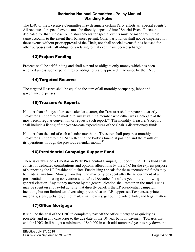#### **Libertarian National Committee - Policy Manual Standing Rules**

<span id="page-33-0"></span>The LNC or the Executive Committee may designate certain Party efforts as "special events". All revenues for special events must be directly deposited into "Special Events" accounts dedicated for that purpose. All disbursements for special events must be made from these same accounts to the extent their balances permit. Other party funds shall not be dispensed for these events without prior approval of the Chair, nor shall special events funds be used for other purposes until all obligations relating to that event have been discharged.

## 13)Project Funding

Projects shall be self funding and shall expend or obligate only money which has been received unless such expenditures or obligations are approved in advance by the LNC.

## 14)Targeted Reserve

The targeted Reserve shall be equal to the sum of all monthly occupancy, labor and governance expenses.

## 15)Treasurer's Reports

No later than 45 days after each calendar quarter, the Treasurer shall prepare a quarterly Treasurer's Report to be mailed to any sustaining member who either was a delegate at the most recent regular convention or requests such report.<sup>44</sup> The monthly Treasurer's Report shall include a listing of the year-to-date expenditures of the Chair's discretionary funds.

No later than the end of each calendar month, the Treasurer shall prepare a monthly Treasurer's Report to the LNC reflecting the Party's financial position and the results of its operations through the previous calendar month.<sup>45</sup>

## 16)Presidential Campaign Support Fund

There is established a Libertarian Party Presidential Campaign Support Fund. This fund shall consist of dedicated contributions and optional allocations by the LNC for the express purpose of supporting the LP Presidential ticket. Fundraising appeals for these encumbered funds may be made at any time. Money from this fund may only be spent after the adjournment of a presidential nominating convention and before December 1st of the year of the following general election. Any money unspent by the general election shall remain in the fund. Funds may be spent on any lawful activity that directly benefits the LP presidential campaign, including but not limited to: advertising, press releases, LP support staff expenses, printed materials, signs, websites, direct mail, email, events, get out the vote efforts, and legal matters.

## 17)Office Mortgage

It shall be the goal of the LNC to completely pay off the office mortgage as quickly as possible, and in any case prior to the due date of the 10-year balloon payment. Towards that end the LNC shall budget a minimum of \$60,000 in each odd-numbered year to pay down the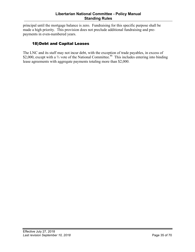<span id="page-34-0"></span>principal until the mortgage balance is zero. Fundraising for this specific purpose shall be made a high priority. This provision does not preclude additional fundraising and prepayments in even-numbered years.

## 18)Debt and Capital Leases

The LNC and its staff may not incur debt, with the exception of trade payables, in excess of \$2,000, except with a <sup>2</sup>/<sub>3</sub> vote of the National Committee.<sup>46</sup> This includes entering into binding lease agreements with aggregate payments totaling more than \$2,000.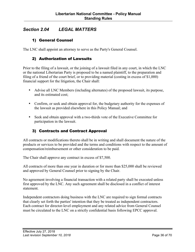## <span id="page-35-0"></span>*Section 2.04 LEGAL MATTERS*

#### 1) General Counsel

The LNC shall appoint an attorney to serve as the Party's General Counsel.

#### 2) Authorization of Lawsuits

Prior to the filing of a lawsuit, or the joining of a lawsuit filed in any court, in which the LNC or the national Libertarian Party is proposed to be a named plaintiff, to the preparation and filing of a friend of the court brief, or to providing material (costing in excess of \$1,000) financial support for the litigation, the Chair shall:

- Advise all LNC Members (including alternates) of the proposed lawsuit, its purpose, and its estimated cost;
- Confirm, or seek and obtain approval for, the budgetary authority for the expenses of the lawsuit as provided elsewhere in this Policy Manual; and
- Seek and obtain approval with a two-thirds vote of the Executive Committee for participation in the lawsuit.

#### 3) Contracts and Contract Approval

All contracts or modifications thereto shall be in writing and shall document the nature of the products or services to be provided and the terms and conditions with respect to the amount of compensation/reimbursement or other consideration to be paid.

The Chair shall approve any contract in excess of \$7,500.

All contracts of more than one year in duration or for more than \$25,000 shall be reviewed and approved by General Counsel prior to signing by the Chair.

No agreement involving a financial transaction with a related party shall be executed unless first approved by the LNC. Any such agreement shall be disclosed in a conflict of interest statement.

Independent contractors doing business with the LNC are required to sign formal contracts that clearly set forth the parties' intention that they be treated as independent contractors. Each contract for director-level employment and any related advice from General Counsel must be circulated to the LNC on a strictly confidential basis following EPCC approval.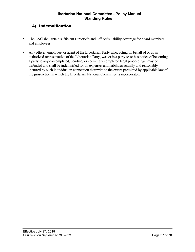#### <span id="page-36-0"></span>4) Indemnification

- The LNC shall retain sufficient Director's and Officer's liability coverage for board members and employees.
- Any officer, employee, or agent of the Libertarian Party who, acting on behalf of or as an authorized representative of the Libertarian Party, was or is a party to or has notice of becoming a party to any contemplated, pending, or seemingly completed legal proceedings, may be defended and shall be indemnified for all expenses and liabilities actually and reasonably incurred by such individual in connection therewith to the extent permitted by applicable law of the jurisdiction in which the Libertarian National Committee is incorporated.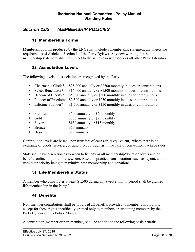## <span id="page-37-0"></span>*Section 2.05 MEMBERSHIP POLICIES*

#### 1) Membership Forms

Membership forms produced by the LNC shall include a membership statement that meets the requirements of Article 4, Section 1 of the Party Bylaws. Any new wording for the membership statement shall be subject to the same review process as all other Party Literature.

#### 2) Association Levels

The following levels of association are recognized by the Party:

- Chairman's Circle\* \$25,000 annually or \$2500 monthly in dues or contributions
- Select Benefactor\* \$15,000 annually or \$1500 monthly in dues or contributions
- Beacon of Liberty\* \$5,000 annually or \$500 monthly in dues or contributions
- Pioneer of Freedom\* \$2,500 annually or \$250 monthly in dues or contributions<br>• Lifetime Founder\* \$1,500 annually or \$150 monthly in dues or contributions
- $$1,500$  annually or  $$150$  monthly in dues or contributions
- Platinum \$500 annually or \$50 monthly
- Gold \$250 annually or \$25 monthly
- Silver \$150 annually or \$15 monthly
- Bronze \$50 annually
- Basic \$25 annually

Contribution levels are based upon transfers of cash (or its equivalent), where there is no exchange of goods, services, or quid pro quo, such as in the case of convention package sales.

Staff shall have discretion as to when to list any or all membership/donation levels and/or benefits online, in print, or elsewhere, based on practical considerations such as layout, and with their priority being to maximize both membership and donations.

#### 3) Life Membership Status

A member who contributes at least \$1,500 during any twelve-month period shall be granted life-membership in the Party. $47$ 

#### 4) Benefits

Non-member contributors shall be provided all benefits provided to member contributors, except for those rights specifically granted only to members or sustaining members by the Party Bylaws or this Policy Manual.

A contributor (member or non-member) shall be entitled to the following basic benefit: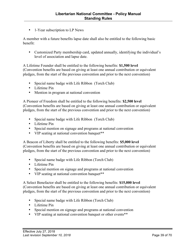• 1-Year subscription to LP News

A member with a future benefits lapse date shall also be entitled to the following basic benefit:

• Customized Party membership card, updated annually, identifying the individual's level of association and lapse date.

A Lifetime Founder shall be entitled to the following benefits: **\$1,500 level**  (Convention benefits are based on giving at least one annual contribution or equivalent pledges, from the start of the previous convention and prior to the next convention)

- Special name badge with Life Ribbon (Torch Club)
- Lifetime Pin
- Mention in program at national convention

A Pioneer of Freedom shall be entitled to the following benefits: **\$2,500 level** (Convention benefits are based on giving at least one annual contribution or equivalent pledges, from the start of the previous convention and prior to the next convention)

- Special name badge with Life Ribbon (Torch Club)
- Lifetime Pin
- Special mention on signage and programs at national convention
- VIP seating at national convention banquet<sup>\*\*</sup>

A Beacon of Liberty shall be entitled to the following benefits: **\$5,000 level** (Convention benefits are based on giving at least one annual contribution or equivalent pledges, from the start of the previous convention and prior to the next convention)

- Special name badge with Life Ribbon (Torch Club)
- Lifetime Pin
- Special mention on signage and programs at national convention
- VIP seating at national convention banquet\*\*

A Select Benefactor shall be entitled to the following benefits: **\$15,000 level**  (Convention benefits are based on giving at least one annual contribution or equivalent pledges, from the start of the previous convention and prior to the next convention)

- Special name badge with Life Ribbon (Torch Club)
- Lifetime Pin
- Special mention on signage and programs at national convention
- VIP seating at national convention banquet or other events\*\*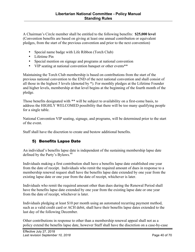<span id="page-39-0"></span>A Chairman's Circle member shall be entitled to the following benefits: **\$25,000 level**  (Convention benefits are based on giving at least one annual contribution or equivalent pledges, from the start of the previous convention and prior to the next convention)

- Special name badge with Life Ribbon (Torch Club)
- Lifetime Pin
- Special mention on signage and programs at national convention
- VIP seating at national convention banquet or other events\*\*

Maintaining the Torch Club membership is based on contributions from the start of the previous national convention to the END of the next national convention and shall consist of all those in the highest 5 levels (denoted by \*). For monthly pledges at the Lifetime Founder and higher levels, membership at that level begins at the beginning of the fourth month of the pledge.

Those benefits designated with \*\* will be subject to availability on a first-come basis, to address the HIGHLY WELCOMED possibility that there will be too many qualifying people for a single table.

National Convention VIP seating, signage, and programs, will be determined prior to the start of the event.

Staff shall have the discretion to create and bestow additional benefits.

#### 5) Benefits Lapse Date

An individual's benefits lapse date is independent of the sustaining membership lapse date defined by the Party's Bylaws.<sup>48</sup>

Individuals making a first contribution shall have a benefits lapse date established one year from the date of receipt. Individuals who remit the required amount of dues in response to a membership renewal request shall have the benefits lapse date extended by one year from the existing lapse date or one year from the date of receipt, whichever is later.

Individuals who remit the required amount other than dues during the Renewal Period shall have the benefits lapse date extended by one year from the existing lapse date or one year from the date of receipt, whichever is later.

Individuals pledging at least \$10 per month using an automated recurring payment method, such as a valid credit card or ACH debit, shall have their benefits lapse dates extended to the last day of the following December.

Other contributions in response to other than a membership renewal appeal shall not as a policy extend the benefits lapse date, however Staff shall have the discretion on a case-by-case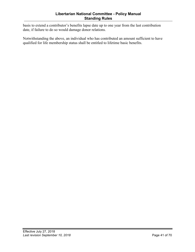basis to extend a contributor's benefits lapse date up to one year from the last contribution date, if failure to do so would damage donor relations.

Notwithstanding the above, an individual who has contributed an amount sufficient to have qualified for life membership status shall be entitled to lifetime basic benefits.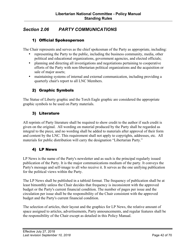## <span id="page-41-0"></span>*Section 2.06 PARTY COMMUNICATIONS*

#### 1) Official Spokesperson

The Chair represents and serves as the chief spokesman of the Party as appropriate, including:

- representing the Party to the public, including the business community, media, other political and educational organizations, government agencies, and elected officials;
- planning and directing all investigations and negotiations pertaining to cooperative efforts of the Party with non-libertarian political organizations and the acquisition or sale of major assets;
- maintaining systems of internal and external communication, including providing a quarterly chair's report to all LNC Members.

#### 2) Graphic Symbols

The Statue of Liberty graphic and the Torch Eagle graphic are considered the appropriate graphic symbols to be used on Party materials.

#### 3) Literature

All reprints of Party literature shall be required to show credit to the author if such credit is given on the original. All wording on material produced by the Party shall be regarded as integral to the piece, and no wording shall be added to materials after approval of their form and content by the LNC. This requirement shall not apply to copyrights, addresses, etc. All materials for public distribution will carry the designation "Libertarian Party."

#### 4) LP News

LP News is the name of the Party's newsletter and as such is the principal regularly issued publication of the Party. It is the major communications medium of the party. It conveys the Party's message and self-image to all who receive it. It serves as the one unifying publication for the political views within the Party.

The LP News shall be published in a tabloid format. The frequency of publication shall be at least bimonthly unless the Chair decides that frequency is inconsistent with the approved budget or the Party's current financial condition. The number of pages per issue and the circulation per issue shall be the responsibility of the Chair consistent with the approved budget and the Party's current financial condition.

The selection of articles, their layout and the graphics for LP News, the relative amount of space assigned to articles, advertisements, Party announcements, and regular features shall be the responsibility of the Chair except as detailed in this Policy Manual.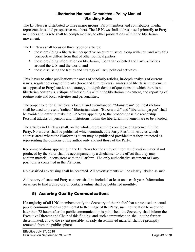#### **Libertarian National Committee - Policy Manual Standing Rules**

<span id="page-42-0"></span>The LP News is distributed to three major groups: Party members and contributors, media representatives, and prospective members. The LP News shall address itself primarily to Party members and its role shall be complementary to other publications within the libertarian movement.

The LP News shall focus on three types of articles:

- those providing a libertarian perspective on current issues along with how and why this perspective differs from that of other political parties;
- those providing information on libertarian, libertarian oriented and Party activities around the U.S. and the world; and
- those discussing the tactics and strategy of Party political activities.

This leaves to other publications the areas of scholarly articles, in-depth analysis of current issues, regular coverage of the arts (book and film reviews), analysis of libertarian movement (as opposed to Party) tactics and strategy, in-depth debate of questions on which there is no libertarian consensus, critique of individuals within the libertarian movement, and reporting of routine state and local activities and personalities.

The proper tone for all articles is factual and even-handed. "Mainstream" political rhetoric shall be used to present "radical" libertarian ideas. "Buzz words" and "libertarian jargon" shall be avoided in order to make the LP News appealing to the broadest possible readership. Personal attacks on persons and institutions within the libertarian movement are to be avoided.

The articles in LP News shall, on the whole, represent the core ideas of agreement in the Party. No articles shall be published which contradict the Party Platform. Articles which address areas where the Platform is silent may be published provided that they are noted as representing the opinions of the author only and not those of the Party.

Recommendations appearing in the LP News for the study of Internal Education material not produced by the Party shall be accompanied by a disclaimer to the effect that they may contain material inconsistent with the Platform. The only authoritative statement of Party positions is contained in the Platform.

No classified advertising shall be accepted. All advertisements will be clearly labeled as such.

A directory of state and Party contacts shall be included at least once each year. Information on where to find a directory of contacts online shall be published monthly.

## 5) Assuring Quality Communications

If a majority of all LNC members notify the Secretary of their belief that a proposed or actual public communication is detrimental to the image of the Party, such notification to occur no later than 72 hours after the public communication is published, the Secretary shall inform the Executive Director and Chair of this finding, and such communication shall not be further disseminated, and to the extent possible, already-disseminated material shall be promptly removed from the public sphere.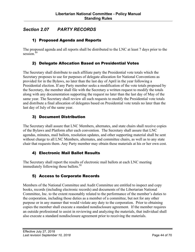## <span id="page-43-0"></span>*Section 2.07 PARTY RECORDS*

#### 1) Proposed Agenda and Reports

The proposed agenda and all reports shall be distributed to the LNC at least 7 days prior to the session.<sup>49</sup>

#### 2) Delegate Allocation Based on Presidential Votes

The Secretary shall distribute to each affiliate party the Presidential vote totals which the Secretary proposes to use for purposes of delegate allocation for National Conventions as provided for in the Bylaws, no later than the last day of April in the year following a Presidential election. If any Party member seeks a modification of the vote totals proposed by the Secretary, the member shall file with the Secretary a written request to modify the totals along with any documentation supporting the request no later than the last day of May of the same year. The Secretary shall review all such requests to modify the Presidential vote totals and distribute a final allocation of delegates based on Presidential vote totals no later than the last day of July of the same year.

#### 3) Document Distribution

The Secretary shall assure that LNC Members, alternates, and state chairs shall receive copies of the Bylaws and Platform after each convention. The Secretary shall assure that LNC agendas, minutes, mail ballots, resolution updates, and other supporting material shall be sent without charge to all LNC Members, alternates, and committee chairs, as well as to any state chair that requests them. Any Party member may obtain these materials at his or her own cost.

#### 4) Electronic Mail Ballot Results

The Secretary shall report the results of electronic mail ballots at each LNC meeting immediately following those ballots.<sup>50</sup>

## 5) Access to Corporate Records

Members of the National Committee and Audit Committee are entitled to inspect and copy books, records (including electronic records) and documents of the Libertarian National Committee, Inc. to the extent reasonably related to the performance of the member's duties to the corporation, including those duties as a member of a committee, but not for any other purpose or in any manner that would violate any duty to the corporation. Prior to obtaining copies the member shall execute a standard nondisclosure agreement. If the member requires an outside professional to assist in reviewing and analyzing the materials, that individual shall also execute a standard nondisclosure agreement prior to receiving the materials.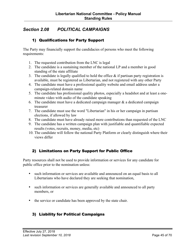## <span id="page-44-0"></span>*Section 2.08 POLITICAL CAMPAIGNS*

#### 1) Qualifications for Party Support

The Party may financially support the candidacies of persons who meet the following requirements:

- 1. The requested contribution from the LNC is legal
- 2. The candidate is a sustaining member of the national LP and a member in good standing of the state affiliate
- 3. The candidate is legally qualified to hold the office  $\&$  if partisan party registration is available, must be registered as Libertarian, and not registered with any other Party
- 4. The candidate must have a professional quality website and email address under a campaign-related domain name
- 5. The candidate has professional quality photos, especially a headshot and at least a oneminute video with audio of the candidate speaking
- 6. The candidate must have a dedicated campaign manager  $\&$  a dedicated campaign treasurer
- 7. The candidate must use the word "Libertarian" in his or her campaign in partisan elections, if allowed by law
- 8. The candidate must have already raised more contributions than requested of the LNC
- 9. The candidate has a written campaign plan with justifiable and quantifiable expected results (votes, recruits, money, media, etc)
- 10. The candidate will follow the national Party Platform or clearly distinguish where their views differ

#### 2) Limitations on Party Support for Public Office

Party resources shall not be used to provide information or services for any candidate for public office prior to the nomination unless:

- such information or services are available and announced on an equal basis to all Libertarians who have declared they are seeking that nomination,
- such information or services are generally available and announced to all party members, or
- the service or candidate has been approved by the state chair.

## 3) Liability for Political Campaigns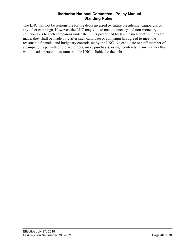#### **Libertarian National Committee - Policy Manual Standing Rules**

The LNC will not be responsible for the debts incurred by future presidential campaigns or any other campaign. However, the LNC may vote to make monetary and non-monetary contributions to such campaigns under the limits prescribed by law. If such contributions are made, they shall be made only after such candidate or campaign has agreed to meet the reasonable financial and budgetary controls set by the LNC. No candidate or staff member of a campaign is permitted to place orders, make purchases, or sign contracts in any manner that would lead a person to assume that the LNC is liable for the debt.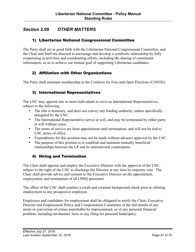## <span id="page-46-0"></span>*Section 2.09 OTHER MATTERS*

#### 1) Libertarian National Congressional Committee

The Party shall act in good faith with the Libertarian National Congressional Committee, and the Chair and Staff are directed to encourage and develop a symbiotic relationship by fully cooperating in activities and coordinating efforts, including the sharing of constituent information, so as to achieve our mutual goal of supporting Libertarian candidates.

#### 2) Affiliation with Other Organizations

The Party shall maintain membership in the Coalition for Free and Open Elections (COFOE).

#### 3) International Representatives

The LNC may appoint one or more individuals to serve as International Representatives, subject to the following:

- The title is honorary, and does not convey any binding authority, unless specifically delegated by the LNC.
- The International Representative serves at will, and may be terminated by either party at will without cause.
- The terms of service are from appointment until termination, and will not be tied to LNC terms of office.
- Expenditures for this position may not be made without advance approval by the LNC.
- The purpose of this position is to establish and maintain mutually beneficial relationships between the LP and its international counterparts.

#### 4) Hiring and Termination

The Chair shall appoint and employ the Executive Director with the approval of the LNC, subject to the right of the LNC to discharge the Director at any time by majority vote. The Chair shall provide advice and consent to the Executive Director on the appointment, employment, and termination of all LPHQ personnel.

The office of the LNC shall conduct a credit and criminal background check prior to offering employment to any prospective employee.

Employees and candidates for employment shall be obligated to notify the Chair, Executive Director and Employment Policy and Compensation Committee of the full details of any arrest or conviction of crimes punishable by imprisonment, or of any personal financial problem, including involuntary liens or any filing for personal bankruptcy.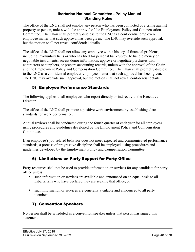#### **Libertarian National Committee - Policy Manual Standing Rules**

<span id="page-47-0"></span>The office of the LNC shall not employ any person who has been convicted of a crime against property or person, unless with the approval of the Employment Policy and Compensation Committee. The Chair shall promptly disclose to the LNC as a confidential employeremployee matter that such approval has been given. The LNC may override such approval, but the motion shall not reveal confidential details.

The office of the LNC shall not allow any employee with a history of financial problems, including involuntary liens or who has filed for personal bankruptcy, to handle money or negotiable instruments, access donor information, approve or negotiate purchases with contractors or suppliers, or prepare accounting records, unless with the approval of the Chair and the Employment Policy and Compensation Committee. The Chair shall promptly disclose to the LNC as a confidential employer-employee matter that such approval has been given. The LNC may override such approval, but the motion shall not reveal confidential details.

## 5) Employee Performance Standards

The following applies to all employees who report directly or indirectly to the Executive Director

The office of the LNC shall promote a positive work environment by establishing clear standards for work performance.

Annual reviews shall be conducted during the fourth quarter of each year for all employees using procedures and guidelines developed by the Employment Policy and Compensation Committee.

If an employee's job-related behavior does not meet expected and communicated performance standards, a process of progressive discipline shall be employed, using procedures and guidelines developed by the Employment Policy and Compensation Committee.

## 6) Limitations on Party Support for Party Office

Party resources shall not be used to provide information or services for any candidate for party office unless:

- such information or services are available and announced on an equal basis to all Libertarians who have declared they are seeking that office, or
- such information or services are generally available and announced to all party members.

## 7) Convention Speakers

No person shall be scheduled as a convention speaker unless that person has signed this statement: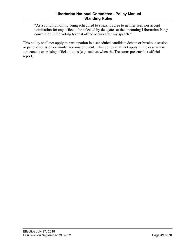"As a condition of my being scheduled to speak, I agree to neither seek nor accept nomination for any office to be selected by delegates at the upcoming Libertarian Party convention if the voting for that office occurs after my speech."

This policy shall not apply to participation in a scheduled candidate debate or breakout session or panel discussion or similar non-major event. This policy shall not apply in the case where someone is exercising official duties (e.g. such as when the Treasurer presents his official report).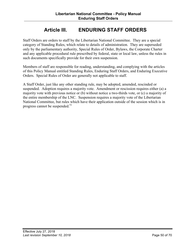# **Article III. ENDURING STAFF ORDERS**

<span id="page-49-0"></span>Staff Orders are orders to staff by the Libertarian National Committee. They are a special category of Standing Rules, which relate to details of administration. They are superseded only by the parliamentary authority, Special Rules of Order, Bylaws, the Corporate Charter and any applicable procedural rule prescribed by federal, state or local law, unless the rules in such documents specifically provide for their own suspension.

Members of staff are responsible for reading, understanding, and complying with the articles of this Policy Manual entitled Standing Rules, Enduring Staff Orders, and Enduring Executive Orders. Special Rules of Order are generally not applicable to staff.

A Staff Order, just like any other standing rule, may be adopted, amended, rescinded or suspended. Adoption requires a majority vote. Amendment or rescission requires either (a) a majority vote with previous notice or (b) without notice a two-thirds vote, or (c) a majority of the entire membership of the LNC. Suspension requires a majority vote of the Libertarian National Committee, but rules which have their application outside of the session which is in progress cannot be suspended.<sup>51</sup>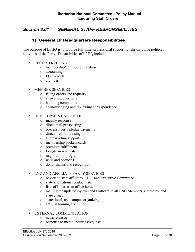## <span id="page-50-0"></span>*Section 3.01 GENERAL STAFF RESPONSIBILITIES*

#### 1) General LP Headquarters Responsibilities

The purpose of LPHQ is to provide full-time, professional support for the on-going political activities of the Party. The activities of LPHQ include:

- RECORD KEEPING
	- o membership/contributor database
	- o accounting
	- o FEC reports
	- o archives
- MEMBER SERVICES
	- o filling orders and requests
	- o answering questions
	- o handling complaints
	- o acknowledging and reviewing correspondence
- DEVELOPMENT ACTIVITIES
	- o inquiry response
	- o direct mail prospecting
	- o process liberty pledge payments
	- o direct mail fundraising
	- o telemarketing support
	- o membership packets/cards
	- o premium fulfillment
	- o long-term renewals
	- o major donor program
	- o wills and bequests
	- o donor thanks and recognition

#### • LNC AND AFFILIATE PARTY SERVICES

- o reports to state affiliates, LNC, and Executive Committee
- o state and national contact lists
- o lists of Libertarian office holders
- o mailing the updated Bylaws and Platform to all LNC Members, alternates, and state chairs
- o state, local, and campus organizing
- o activist training and support

#### • EXTERNAL COMMUNICATION

- o news releases
- o response to media inquiries/requests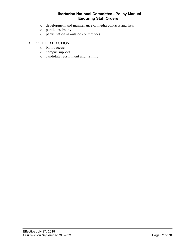#### **Libertarian National Committee - Policy Manual Enduring Staff Orders**

- o development and maintenance of media contacts and lists
- o public testimony
- o participation in outside conferences
- POLITICAL ACTION
	- o ballot access
	- o campus support
	- o candidate recruitment and training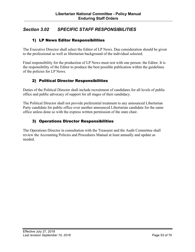## <span id="page-52-0"></span>*Section 3.02 SPECIFIC STAFF RESPONSIBILITIES*

#### 1) LP News Editor Responsibilities

The Executive Director shall select the Editor of LP News. Due consideration should be given to the professional as well as libertarian background of the individual selected.

Final responsibility for the production of LP News must rest with one person: the Editor. It is the responsibility of the Editor to produce the best possible publication within the guidelines of the policies for LP News.

#### 2) Political Director Responsibilities

Duties of the Political Director shall include recruitment of candidates for all levels of public office and public advocacy of support for all stages of their candidacy.

The Political Director shall not provide preferential treatment to any announced Libertarian Party candidate for public office over another announced Libertarian candidate for the same office unless done so with the express written permission of the state chair.

## 3) Operations Director Responsibilities

The Operations Director in consultation with the Treasurer and the Audit Committee shall review the Accounting Policies and Procedures Manual at least annually and update as needed.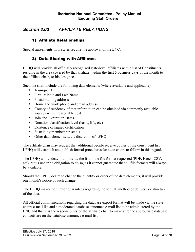## <span id="page-53-0"></span>*Section 3.03 AFFILIATE RELATIONS*

#### 1) Affiliate Relationships

Special agreements with states require the approval of the LNC.

#### 2) Data Sharing with Affiliates

LPHQ will provide all officially recognized state-level affiliates with a list of Constituents residing in the area covered by that affiliate, within the first 5 business days of the month to the affiliate chair, or his designee.

Such list shall include the following data elements (where available and applicable):

- A unique ID
- First, Middle and Last Name
- Postal mailing address
- Home and work phone and email address
- County of residency, if that information can be obtained via commonly available sources within reasonable cost
- Join and Expiration Dates
- Donation classification level (basic, life, etc)
- Existence of signed certification
- Sustaining membership status
- Other data elements, at the discretion of LPHQ

The affiliate chair may request that additional people receive copies of the constituent list. LPHQ will establish and publish formal procedures for state chairs to follow in this regard.

The LPHQ will endeavor to provide the list in the file format requested (PDF, Excel, CSV, etc), but is under no obligation to do so, as it cannot guarantee that all file formats will always be available.

Should the LPHQ desire to change the quantity or order of the data elements, it will provide one month's notice of such change.

The LPHQ makes no further guarantees regarding the format, method of delivery or structure of the data.

All official communications regarding the database export format will be made via the state chairs e-mail list and a moderated database announce e-mail list to be administered by the LNC and that it is the responsibility of the affiliate chair to make sure the appropriate database contacts are on the database announce e-mail list.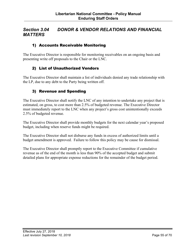## <span id="page-54-0"></span>*Section 3.04 DONOR & VENDOR RELATIONS AND FINANCIAL MATTERS*

#### 1) Accounts Receivable Monitoring

The Executive Director is responsible for monitoring receivables on an ongoing basis and presenting write off proposals to the Chair or the LNC.

#### 2) List of Unauthorized Vendors

The Executive Director shall maintain a list of individuals denied any trade relationship with the LP, due to any debt to the Party being written off.

#### 3) Revenue and Spending

The Executive Director shall notify the LNC of any intention to undertake any project that is estimated, on gross, to cost more than 2.5% of budgeted revenue. The Executive Director must immediately report to the LNC when any project's gross cost unintentionally exceeds 2.5% of budgeted revenue.

The Executive Director shall provide monthly budgets for the next calendar year's proposed budget, including when reserve funds might be required.

The Executive Director shall not disburse any funds in excess of authorized limits until a budget amendment is approved. Failure to follow this policy may be cause for dismissal.

The Executive Director shall promptly report to the Executive Committee if cumulative revenue as of the end of the month is less than 90% of the accepted budget and submit detailed plans for appropriate expense reductions for the remainder of the budget period.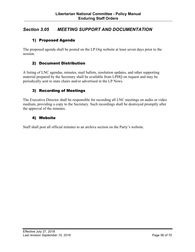## <span id="page-55-0"></span>*Section 3.05 MEETING SUPPORT AND DOCUMENTATION*

#### 1) Proposed Agenda

The proposed agenda shall be posted on the LP.Org website at least seven days prior to the session.

#### 2) Document Distribution

A listing of LNC agendas, minutes, mail ballots, resolution updates, and other supporting material prepared by the Secretary shall be available from LPHQ on request and may be periodically sent to state chairs and/or advertised in the LP News.

#### 3) Recording of Meetings

The Executive Director shall be responsible for recording all LNC meetings on audio or video medium, providing a copy to the Secretary. Such recordings shall be destroyed promptly after the approval of the minutes.

#### 4) Website

Staff shall post all official minutes to an archive section on the Party's website.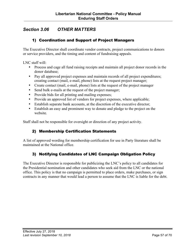## <span id="page-56-0"></span>*Section 3.06 OTHER MATTERS*

#### 1) Coordination and Support of Project Managers

The Executive Director shall coordinate vendor contracts, project communications to donors or service providers, and the timing and content of fundraising appeals.

LNC staff will:

- Process and cage all fund raising receipts and maintain all project donor records in the donor database;
- Pay all approved project expenses and maintain records of all project expenditures; creating contact (mail, e-mail, phone) lists at the request project manager;
- Create contact (mail, e-mail, phone) lists at the request of the project manager
- Send bulk e-mails at the request of the project manager;
- Provide bids for all printing and mailing expenses;
- Provide an approved list of vendors for project expenses, where applicable;
- Establish separate bank accounts, at the discretion of the executive director;
- Establish an easy and prominent way to donate and pledge to the project on the website.

Staff shall not be responsible for oversight or direction of any project activity.

#### 2) Membership Certification Statements

A list of approved wording for membership certification for use in Party literature shall be maintained at the National office.

#### 3) Notifying Candidates of LNC Campaign Obligation Policy

The Executive Director is responsible for publicizing the LNC's policy to all candidates for the Presidential nomination and other candidates who seek aid from the LNC or the national office. This policy is that no campaign is permitted to place orders, make purchases, or sign contracts in any manner that would lead a person to assume that the LNC is liable for the debt.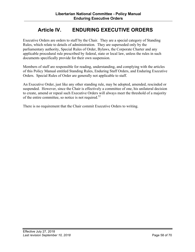# **Article IV. ENDURING EXECUTIVE ORDERS**

<span id="page-57-0"></span>Executive Orders are orders to staff by the Chair. They are a special category of Standing Rules, which relate to details of administration. They are superseded only by the parliamentary authority, Special Rules of Order, Bylaws, the Corporate Charter and any applicable procedural rule prescribed by federal, state or local law, unless the rules in such documents specifically provide for their own suspension.

Members of staff are responsible for reading, understanding, and complying with the articles of this Policy Manual entitled Standing Rules, Enduring Staff Orders, and Enduring Executive Orders. Special Rules of Order are generally not applicable to staff.

An Executive Order, just like any other standing rule, may be adopted, amended, rescinded or suspended. However, since the Chair is effectively a committee of one, his unilateral decision to create, amend or repeal such Executive Orders will always meet the threshold of a majority of the entire committee, so notice is not required.<sup>52</sup>

There is no requirement that the Chair commit Executive Orders to writing.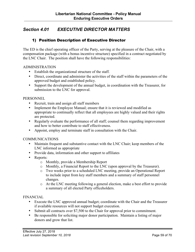## <span id="page-58-0"></span>*Section 4.01 EXECUTIVE DIRECTOR MATTERS*

#### 1) Position Description of Executive Director

The ED is the chief operating officer of the Party, serving at the pleasure of the Chair, with a compensation package (with a bonus incentive structure) specified in a contract negotiated by the LNC Chair. The position shall have the following responsibilities:

#### ADMINISTRATION

- Establish the organizational structure of the staff.
- Direct, coordinate and administer the activities of the staff within the parameters of the approved budget and established policy.
- Support the development of the annual budget, in coordination with the Treasurer, for submission to the LNC for approval.

#### **PERSONNEL**

- Recruit, train and assign all staff members
- Implement the Employee Manual; ensure that it is reviewed and modified as appropriate to continually reflect that all employees are highly valued and their rights are protected.
- Regularly evaluate the performance of all staff; counsel them regarding improvement and how to better contribute to staff effectiveness.
- Appoint, employ and terminate staff in consultation with the Chair.

#### **COMMUNICATIONS**

- Maintain frequent and substantive contact with the LNC Chair; keep members of the LNC informed as appropriate
- Provide data, information and other support to affiliates
- Reports:
	- o Monthly, provide a Membership Report
	- o Monthly, a Financial Report to the LNC (upon approval by the Treasurer).
	- o Two weeks prior to a scheduled LNC meeting, provide an Operational Report to include input from key staff members and a summary of staff personnel changes.
	- o At the LNC meeting following a general election, make a best effort to provide a summary of all elected Party officeholders.

#### FINANCIAL

- Execute the LNC approved annual budget; coordinate with the Chair and the Treasurer if available resources will not support budget execution.
- Submit all contracts over \$7,500 to the Chair for approval prior to commitment.
- Be responsible for soliciting major donor participation. Maintain a listing of major donors and grow that list.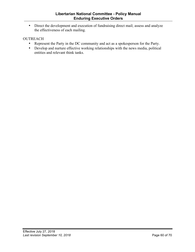• Direct the development and execution of fundraising direct mail; assess and analyze the effectiveness of each mailing.

#### **OUTREACH**

- Represent the Party in the DC community and act as a spokesperson for the Party.
- Develop and nurture effective working relationships with the news media, political entities and relevant think tanks.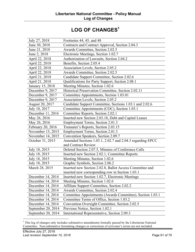# LOG OF CHANGES<sup>1</sup>

<span id="page-60-0"></span>

| July 27, 2018      | Footnotes 44, 45, and 48                                  |
|--------------------|-----------------------------------------------------------|
| June 30, 2018      | Contracts and Contract Approval, Section 2.04.3           |
| June 21, 2018      | <b>Awards Committee, Section 2.02.5</b>                   |
| June 2, 2018       | Electronic Meetings, Section 1.02.7                       |
| April 22, 2018     | Authorization of Lawsuits, Section 2.04.2                 |
| April 22, 2018     | Benefits, Section 2.05.4                                  |
| April 22, 2018     | Association Levels, Section 2.05.2                        |
| April 22, 2018     | <b>Awards Committee, Section 2.02.5</b>                   |
| April 21, 2018     | Candidate Support Committee, Section 2.02.6               |
| April 21, 2018     | Qualifications for Party Support, Section 2.08.1          |
| January 15, 2018   | Meeting Minutes, Section 1.02.6                           |
| December 9, 2017   | Historical Preservation Committee, Section 2.02.11        |
| December 9, 2017   | Committee Appointments, Section 1.03.01                   |
| December 9, 2017   | Association Levels, Section 2.05.2                        |
| August 20, 2017    | Candidate Support Committee, Sections 1.03.1 and 2.02.6   |
| July 10, 2017      | Committee Appointments (COC), Section 1.03.1              |
| December 11, 2016  | Committee Reports, Section 2.02.1                         |
| May 26, 2016       | Inserted new Section 2.03.18, Debt and Capital Leases     |
| May 26, 2016       | Employment Terms, Section 2.01.3                          |
| February 20, 2016  | Treasurer's Reports, Section 2.03.15                      |
| November 15, 2015  | Employment Terms, Section 2.01.3                          |
| November 14, 2015  | Convention Speakers, Section 2.09.7                       |
| October 31, 2015   | Amended Sections 1.03.1, 2.02.7 and 2.04.3 regarding EPCC |
|                    | and Contract Review                                       |
| July 18, 2015      | Deleted Section 2.07.5, Minutes of Conference Calls       |
| July 18, 2015      | Inserted new Section 2.02.1, Committee Reports            |
| July 18, 2015      | Meeting Minutes, Section 1.02.6                           |
| July 18, 2015      | Graphic Symbols, Section 2.06.2                           |
| March 28, 2015     | Inserted new Section 2.02.8, Ballot Access Committee and  |
|                    | inserted new corresponding row in Section 1.03.1          |
| December 14, 2014  | Inserted new Section 1.02.7, Electronic Meetings          |
| December 14, 2014  | Meeting Minutes, Section 1.02.6                           |
| December 14, 2014  | Affiliate Support Committee, Section 2.02.2               |
| December 14, 2014  | Awards Committee, Section 2.02.4                          |
| December 14, 2014  | Committee Appointments (Awards Committee), Section 1.03.1 |
| December 14, 2014  | Committee Terms of Office, Section 1.03.2                 |
| December 14, 2014  | Convention Oversight Committee, Section 2.02.5            |
| September 20, 2014 | Previous Notice, Section 1.02.1                           |
| September 20, 2014 | International Representative, Section 2.09.3              |

<sup>&</sup>lt;sup>1</sup> This log of changes only includes substantive amendments formally passed by the Libertarian National Committee. Non-substantive formatting changes or corrections of scrivener's errors are not included.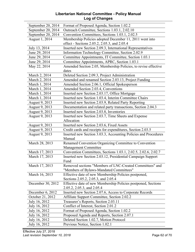#### **Libertarian National Committee - Policy Manual Log of Changes**

| September 20, 2014                | Format of Proposed Agenda, Section 1.02.2                                           |
|-----------------------------------|-------------------------------------------------------------------------------------|
| September 20, 2014                | Outreach Committee, Sections 1.03.1, 2.02.10                                        |
| September 20, 2014                | Convention Committees, Sections 1.03.1, 2.02.5                                      |
| August 1, 2014                    | Membership Policies adopted December 11, 2011 went into                             |
|                                   | effect - Sections 2.05.2, 2.05.3, and 2.05.4                                        |
| July 13, 2014                     | Inserted new Section 2.09.3, International Representatives                          |
| June 29, 2014                     | Information Technology Committee, Section 2.02.9                                    |
| June 29, 2014                     | Committee Appointments, IT Committee, Section 1.03.1                                |
| June 29, 2014                     | Committee Appointments, APRC, Section 1.03.1                                        |
| May 22, 2014                      | Amended Section 2.05, Membership Policies, to revise effective                      |
|                                   | dates                                                                               |
| March 2, 2014                     | Deleted Section 2.09.3, Project Administration                                      |
| March 2, 2014                     | Amended and renamed Section 2.03.13, Project Funding                                |
| March 1, 2014                     | Amended Section 2.06.1, Official Spokesperson                                       |
| March 1, 2014                     | Amended Section 2.03.4, Conventions                                                 |
| March 1, 2014                     | Inserted new Section 2.03.17, Office Mortgage                                       |
| March 1, 2014                     | Inserted new Section 1.03.4, Interim Committee Chairs                               |
| August 9, 2013                    | Inserted new Section 2.03.9, Related Party Reporting                                |
| August 9, 2013                    | Documentation and related party transactions, Section 2.04.3                        |
| August 9, 2013                    | Inserted new Section 2.03.8, Inventories                                            |
| August 9, 2013                    | Inserted new Section 2.03.7, Time Sheets and Expense                                |
|                                   | Allocation                                                                          |
| August 9, 2013                    | Inserted new Section 2.03.6, Fixed Assets                                           |
| August 9, 2013                    | Credit cards and receipts for expenditures, Section 2.03.5                          |
| August 9, 2013                    | Inserted new Section 3.03.3, Accounting Policies and Procedures                     |
|                                   | Manual                                                                              |
| March 28, 2013                    | Renamed Convention Organizing Committee to Convention                               |
|                                   | <b>Management Committee</b>                                                         |
| March 17, 2013                    | Convention Committees, Sections 1.03.1, 2.02.5, 2.02.6, 2.02.7                      |
| March 17, 2013                    | Inserted new Section 2.03.12, Presidential Campaign Support                         |
|                                   | Fund                                                                                |
| March 17, 2013                    | Removed sections "Members of LNC-Created Committees" and                            |
|                                   | "Members of Bylaws-Mandated Committees"                                             |
| March 16, 2013                    | Effective date of new Membership Policies postponed,                                |
|                                   | Sections 2.05.2, 2.05.3, and 2.05.4                                                 |
| December 30, 2012                 | Effective date of new Membership Policies postponed, Sections                       |
|                                   | 2.05.2, 2.05.3, and 2.05.4                                                          |
| December 6, 2012                  | Inserted new Section 2.07.6, Access to Corporate Records                            |
| October 21, 2012<br>July 16, 2012 | Affiliate Support Committee, Section 2.02.2<br>Treasurer's Reports, Section 2.03.11 |
| July 16, 2012                     | Conflict of Interest, Section 2.01.2                                                |
| July 16, 2012                     | Format of Proposed Agenda, Section 1.02.2                                           |
| July 16, 2012                     | Proposed Agenda and Reports, Section 2.07.1                                         |
| July 16, 2012                     | Deleted Section 1.02.7, Motion Protocol                                             |
|                                   |                                                                                     |
| July 16, 2012                     | Previous Notice, Section 1.02.1                                                     |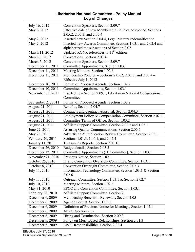#### **Libertarian National Committee - Policy Manual Log of Changes**

| July 16, 2012      | Convention Speakers, Section 2.09.7                             |
|--------------------|-----------------------------------------------------------------|
| May 6, 2012        | Effective date of new Membership Policies postponed, Sections   |
|                    | 2.05.2, 2.05.3, and 2.05.4                                      |
| May 2, 2012        | Inserted new Section 2.04.4, Legal Matters Indemnification      |
| May 2, 2012        | Inserted new Awards Committee, Sections 1.03.1 and 2.02.4 and   |
|                    | alphabetized the subsections of Section 2.02                    |
| March 11, 2012     | Updated RONR references to $11th$ edition                       |
| March 6, 2012      | Conventions, Section 2.03.4                                     |
| March 5, 2012      | Convention Speakers, Section 2.09.7                             |
| December 11, 2011  | Committee Appointments, Section 1.03.1                          |
| December 11, 2011  | Meeting Minutes, Section 1.02.6                                 |
| December 11, 2011  | Membership Policies - Sections 2.05.2, 2.05.3, and 2.05.4 -     |
|                    | Effective July 1, 2012                                          |
| December 10, 2011  | Format of Proposed Agenda, Section 1.02.2                       |
| December 10, 2011  | Committee Appointments, Section 1.03.1                          |
| November 25, 2011  | Inserted new Section 2.09.1, Libertarian National Congressional |
|                    | Committee                                                       |
| September 21, 2011 | Format of Proposed Agenda, Section 1.02.2                       |
| August 21, 2011    | Benefits, Section 2.04.7                                        |
| August 21, 2011    | Contracts and Contract Approval, Section 2.04.3                 |
| August 21, 2011    | Employment Policy & Compensation Committee, Section 2.02.4      |
| August 21, 2011    | Committee Terms of Office, Section 1.03.2                       |
| August 21, 2011    | Affiliate Support Committee, Section 2.02.5 and 1.03.1          |
| June 22, 2011      | Assuring Quality Communications, Section 2.06.5                 |
| May 26, 2011       | Advertising & Publication Review Committee, Section 2.02.1      |
| February 20, 2011  | Sections 1.01.3, 1.04.1, and 2.07.4                             |
| January 11, 2011   | Treasurer's Reports, Section 2.03.10                            |
| December 26, 2010  | Budget details, Section 2.03.3                                  |
| December 12, 2011  | Committee Appointments (IT Committee), Section 1.03.1           |
| November 21, 2010  | Previous Notice, Section 1.02.1                                 |
| October 25, 2010   | IT and Convention Oversight Committee, Section 1.03.1           |
| October 8, 2010    | Convention Oversight Committee, Section 2.02.3                  |
| July 11, 2010      | Information Technology Committee, Section 1.03.1 & Section      |
|                    | 2.02.6                                                          |
| July 11, 2010      | Outreach Committee, Section 1.03.1 & Section 2.02.7             |
| July 10, 2010      | Meeting Minutes, Section 1.02.6                                 |
| May 31, 2010       | EPCC and Convention Committee, Section 1.03.1                   |
| February 28, 2010  | Affiliate Support Committee, Section 2.                         |
| December 6, 2009   | Membership Benefits - Renewals, Section 2.05                    |
| December 6, 2009   | Agenda Format, Section 1.02.1                                   |
| December 6, 2009   | Definition of Previous Notice for Meetings, Section 1.02.1      |
| December 6, 2009   | APRC, Section 2.02                                              |
| December 6, 2009   | Hiring and Termination, Section 2.09.3                          |
| December 5, 2009   | Policy on Merit Based Relationships, Section 2.01.3             |
| December 5, 2009   | EPCC Responsibilities, Section 2.02.4                           |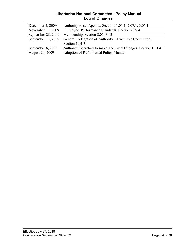#### **Libertarian National Committee - Policy Manual Log of Changes**

| December 5, 2009       | Authority to set Agenda, Sections 1.01.1, 2.07.1, 3.05.1      |
|------------------------|---------------------------------------------------------------|
| November 19, 2009      | Employee Performance Standards, Section 2.09.4                |
| September 28, 2009     | Membership, Section 2.05, 3.03                                |
| September $11, 2009$   | General Delegation of Authority – Executive Committee,        |
|                        | Section 1.01.3                                                |
| September 6, 2009      | Authorize Secretary to make Technical Changes, Section 1.01.4 |
| <b>August 20, 2009</b> | Adoption of Reformatted Policy Manual                         |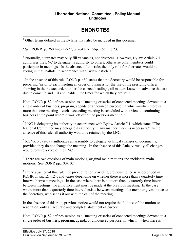#### **Libertarian National Committee - Policy Manual Endnotes**

# **ENDNOTES**

<span id="page-64-0"></span>Other terms defined in the Bylaws may also be included in this document.

<sup>2</sup> See RONR, p. 260 lines 19-22, p. 264 line 29-p. 265 line 23.

<sup>3</sup> Normally, alternates may only fill vacancies, not absences. However, Bylaw Article 7.1 authorizes the LNC to delegate its authority to others, otherwise only members could participate in meetings. In the absence of this rule, the only role for alternates would be voting in mail ballots, in accordance with Bylaw Article 13.

 $4\,\text{In the absence of this rule, RONR p. }$  459 states that the Secretary would be responsible for preparing "prior to each meeting an order of business for the use of the presiding officer, showing in their exact order, under the correct headings, all matters known in advance that are due to come up and – if applicable – the times for which they are set."

Note: RONR p. 82 defines session as a "meeting or series of connected meetings devoted to a single order of business, program, agenda or announced purpose, in which—when there is more than one meeting—each succeeding meeting is scheduled with a view to continuing business at the point where it was left off at the previous meeting."

 $<sup>5</sup>$  LNC is delegating its authority in accordance with Bylaw Article 7.1, which states "The</sup> National Committee may delegate its authority in any manner it deems necessary." In the absence of this rule, all authority would be retained by the LNC.

<sup>6</sup> RONR p.598-599 authorizes an assembly to delegate technical changes of documents, provided they do not change the meaning. In the absence of this Rule, virtually all changes would require a vote of the LNC.

 $<sup>7</sup>$  There are two divisions of main motions, original main motions and incidental main</sup> motions. See RONR pp.100-102.

 $8 \text{ In the absence of this rule, the procedure for providing previous notice is as described in }$ RONR on pp.121-124, and varies depending on whether there is more than a quarterly time interval between meetings. In the case where there is no more than a quarterly time interval between meetings, the announcement must be made at the previous meeting. In the case where more than a quarterly time interval exists between meetings, the member gives notice to the Secretary, who sends it out with the call of the meeting.

In the absence of this rule, previous notice would not require the full text of the motion or resolution, only an accurate and complete statement of purport.

Note: RONR p. 82 defines session as a "meeting or series of connected meetings devoted to a single order of business, program, agenda or announced purpose, in which—when there is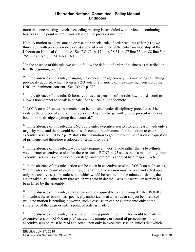$\overline{a}$ more than one meeting—each succeeding meeting is scheduled with a view to continuing business at the point where it was left off at the previous meeting."

Note: A motion to adopt, amend or rescind a special rule of order requires either (a) a twothirds vote with previous notice or (b) a vote of a majority of the entire membership of the Libertarian National Committee. See RONR, p. 17 lines 28-31, p. 87 line 33 – p. 88 line 5, p. 265 lines 19-23, p. 390 lines 13-15.

<sup>9</sup> In the absence of this rule, we would follow the default of order of business as described in RONR beginning p. 353.

 $10$  In the absence of this rule, changing the order of the agenda requires amending something previously adopted, which requires a 2/3 vote or a majority of the entire membership of the LNC or unanimous consent. See RONR p. 373.

 $11$  In the absence of this rule, Roberts requires a suspension of the rules (two-thirds vote) to allow a nonmember to speak in debate. See RONR p. 263 footnote.

 $12$  RONR on p. 96 states "A member can be punished under disciplinary procedures if he violates the secrecy of an executive session. Anyone else permitted to be present is honorbound not to divulge anything that occurred."

<sup>13</sup> In the absence of this rule, the LNC could enter executive session for any reason with only a majority vote, and there would be no such content requirements for the motion to enter executive session. RONR p. 95 states that "a motion to go into executive session is a question of privilege, and therefore is adopted by a majority vote."

 $14$  In the absence of this rule, it would only require a majority vote rather than a two-thirds vote to enter executive session for these reasons. RONR p. 95 states that "a motion to go into executive session is a question of privilege, and therefore is adopted by a majority vote."

 $15$  In the absence of this rule, action can be taken in executive session. RONR on p. 96 states, "the minutes, or record of proceedings, of an executive session must be read and acted upon only in executive session, unless that which would be reported in the minutes – that is, the action taken, as distinct from that which was said in debate – was not secret, or secrecy has been lifted by the assembly."

 $16$  In the absence of this rule, a motion would be required before allowing debate. RONR p. 34 "Unless the assembly has specifically authorized that a particular subject be discussed while no motion is pending, however, such a discussion can be entered into only at the sufferance of the chair or until a point of order is made…"

 $17$  In the absence of this rule, this action of making public these minutes would be made in executive session. RONR on p. 96 states, "the minutes, or record of proceedings, of an executive session must be read and acted upon only in executive session, unless that which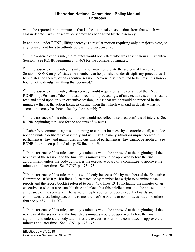$\overline{a}$ would be reported in the minutes – that is, the action taken, as distinct from that which was said in debate – was not secret, or secrecy has been lifted by the assembly."

In addition, under RONR, lifting secrecy is a regular motion requiring only a majority vote, so any requirement for a two-thirds vote is more burdensome.

<sup>18</sup> In the absence of this rule, the minutes would not reflect who was absent from an Executive Session. See RONR beginning at p. 468 for the contents of minutes.

 $19$  In the absence of this rule, this information may not violate the secrecy of Executive Session. RONR on p. 96 states "A member can be punished under disciplinary procedures if he violates the secrecy of an executive session. Anyone else permitted to be present is honorbound not to divulge anything that occurred."

 $20$  In the absence of this rule, lifting secrecy would require only the consent of the LNC. RONR on p. 96 states, "the minutes, or record of proceedings, of an executive session must be read and acted upon only in executive session, unless that which would be reported in the minutes – that is, the action taken, as distinct from that which was said in debate – was not secret, or secrecy has been lifted by the assembly."

<sup>21</sup> In the absence of this rule, the minutes would not reflect disclosed conflicts of interest. See RONR beginning at p. 468 for the contents of minutes.

 $^{22}$  Robert's recommends against attempting to conduct business by electronic email, as it does not constitute a deliberative assembly and will result in many situations unprecedented in parliamentary law, and many rules and customs of parliamentary law cannot be applied. See RONR footnote on p. 1 and also p. 98 lines 14-19.

 $^{23}$  In the absence of this rule, each day's minutes would be approved at the beginning of the next day of the session and the final day's minutes would be approved before the final adjournment, unless the body authorizes the executive board or a committee to approve the minutes at a later time. See RONR p. 473-475.

 $24$  In the absence of this rule, minutes would only be accessible by members of the Executive Committee. RONR p. 460 lines 13-20 states "Any member has a right to examine these reports and the record book(s) referred to on p. 459, lines 13-16 including the minutes of an executive session, at a reasonable time and place, but this privilege must not be abused to the annoyance of the secretary. The same principle applies to records kept by boards and committees, these being accessible to members of the boards or committees but to no others (but see p. 487, ll. 13-20)."

 $^{25}$  In the absence of this rule, each day's minutes would be approved at the beginning of the next day of the session and the final day's minutes would be approved before the final adjournment, unless the body authorizes the executive board or a committee to approve the minutes at a later time. See RONR p. 473-475.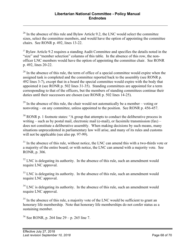$26$  In the absence of this rule and Bylaw Article 9.2, the LNC would select the committee sizes, select the committee members, and would have the option of appointing the committee chairs. See RONR p. 492, lines 13-22.

<sup>27</sup> Bylaw Article 9.2 requires a standing Audit Committee and specifies the details noted in the "size" and "member selection" columns of this table. In the absence of this row, the nonofficer LNC members would have the option of appointing the committee chair. See RONR p. 492, lines 20-22.

 $^{28}$  In the absence of this rule, the term of office of a special committee would expire when the assigned task is completed and the committee reported back to the assembly (see RONR p. 492 lines 3-7), except that in a board the special committee would expire with the body that appointed it (see RONR p. 502 lines 31-35). Standing committees are appointed for a term corresponding to that of the officers, but the members of standing committees continue their duties until their successors are chosen (see RONR p. 502 lines 14-25).

 $^{29}$  In the absence of this rule, the chair would not automatically be a member – voting or nonvoting – on any committee, unless appointed to the position. See RONR p. 456-457.

 $30$  RONR p. 1 footnote states: "A group that attempts to conduct the deliberative process in writing – such as by postal mail, electronic mail (e-mail), or facsimile transmission  $(fax)$  – does not constitute a deliberative assembly. When making decisions by such means, many situations unprecedented in parliamentary law will arise, and many of its rules and customs will not be applicable (see also pp. 97-99).

 $31$  In the absence of this rule, without notice, the LNC can amend this with a two-thirds vote or a majority of the entire board; or with notice, the LNC can amend with a majority vote. See RONR, p. 306.

 $32$  LNC is delegating its authority. In the absence of this rule, such an amendment would require LNC approval.

 $33$  LNC is delegating its authority. In the absence of this rule, such an amendment would require LNC approval.

 $34$  LNC is delegating its authority. In the absence of this rule, such an amendment would require LNC approval.

 $35$  In the absence of this rule, a majority vote of the LNC would be sufficient to grant an honorary life membership. Note that honorary life memberships do not confer status as a sustaining member.

 $36$  See RONR, p. 264 line 29 – p. 265 line 7.

 $\overline{a}$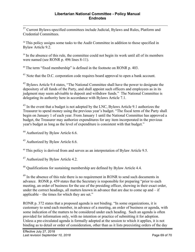<sup>37</sup> Current Bylaws-specified committees include Judicial, Bylaws and Rules, Platform and Credential Committees.

<sup>38</sup> This policy assigns some tasks to the Audit Committee in addition to those specified in Bylaw Article 9.2.

<sup>39</sup> In the absence of this rule, the committee could not begin its work until all of its members were named (see RONR p. 496 lines 8-11).

<sup>40</sup> The term "fixed membership" is defined in the footnote on RONR p. 403.

<sup>41</sup> Note that the D.C. corporation code requires board approval to open a bank account.

 $42$  Bylaws Article 9.4 states, "The National Committee shall have the power to designate the depository of all funds of the Party, and shall appoint such officers and employees as in its judgment may seem advisable to deposit and withdraw funds." The National Committee is delegating its authority here in accordance with Bylaws Article 7.1.

 $43$  In the event that a budget is not adopted by the LNC, Bylaws Article 9.1 authorizes the Treasurer to spend money using the previous year's budget. "The fiscal term of the Party shall begin on January 1 of each year. From January 1 until the National Committee has approved a budget, the Treasurer may authorize expenditures for any item incorporated in the previous year's budget as long as the level of expenditure is consistent with that budget."

<sup>44</sup> Authorized by Bylaw Article 6.6.

<sup>45</sup> Authorized by Bylaw Article 6.6.

<sup>46</sup> This policy is derived from and serves as an interpretation of Bylaw Article 9.5.

<sup>47</sup> Authorized by Bylaw Article 4.2.

<sup>48</sup> Qualifications for sustaining membership are defined by Bylaw Article 4.4.

<sup>49</sup> In the absence of this rule there is no requirement in RONR to send such documents in advance. RONR p. 459 states that the Secretary is responsible for preparing "prior to each meeting, an order of business for the use of the presiding officer, showing in their exact order, under the correct headings, all matters known in advance that are due to come up and – if applicable – the times for which they are set."

RONR p. 372 states that a proposed agenda is not binding. "In some organizations, it is customary to send each member, in advance of a meeting, an order of business or agenda, with some indication of the matters to be considered under each heading. Such an agenda is often provided for information only, with no intention or practice of submitting it for adoption. Unless a pre-circulated agenda is formally adopted at the session to which it applies, it is not binding as to detail or order of consideration, other than as it lists preexisting orders of the day